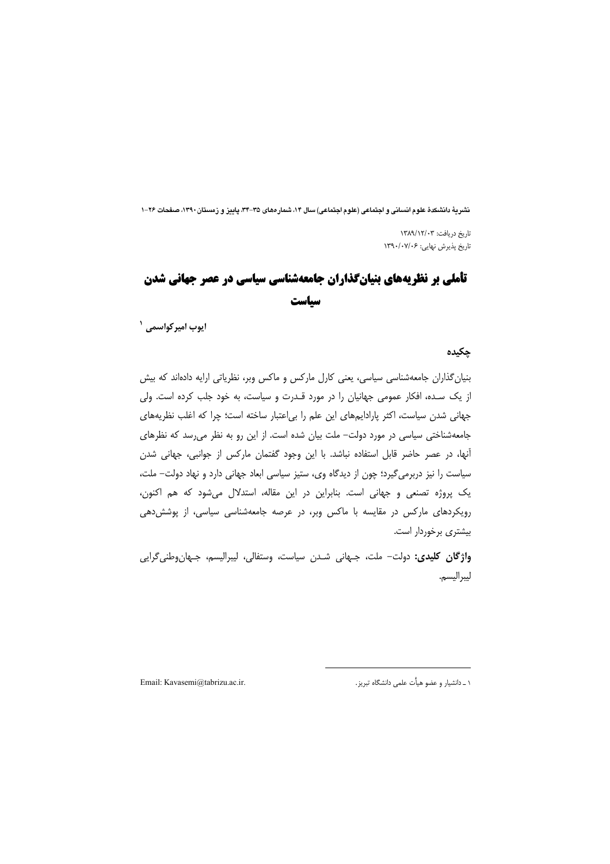نشريهٔ دانشکدهٔ علوم انسانی و اجتماعی (علوم اجتماعی) سال ۱۴، شمار همای ۳۵–۳۴، پاییز و زمستان ۱۳۹۰، صفحات ۲۶–۱

تاریخ دریافت: ۱۳۸۹/۱۲/۰۳ تاریخ پذیرش نهایی: ۱۳۹۰/۰۷/۰۶

# **تأملی بر نظریههای بنیانگذاران جامعهشناسی سیاسی در عصر جهانی شدن** سياست

ايوب اميركواسمي <sup>۱</sup>

چکیده

بنیان گذاران جامعهشناسی سیاسی، یعنی کارل مارکس و ماکس وبر، نظریاتی ارایه دادهاند که بیش از یک سده، افکار عمومی جهانیان را در مورد قـدرت و سیاست، به خود جلب کرده است. ولی جهانی شدن سیاست، اکثر پارادایمهای این علم را بی اعتبار ساخته است؛ چرا که اغلب نظریههای جامعهشناختی سیاسی در مورد دولت- ملت بیان شده است. از این رو به نظر می رسد که نظرهای آنها، در عصر حاضر قابل استفاده نباشد. با این وجود گفتمان مارکس از جوانبی، جهانی شدن سیاست را نیز دربرمی گیرد؛ چون از دیدگاه وی، ستیز سیاسی ابعاد جهانی دارد و نهاد دولت– ملت، یک پروژه تصنعی و جهانی است. بنابراین در این مقاله، استدلال میشود که هم اکنون، رویکردهای مارکس در مقایسه با ماکس وبر، در عرصه جامعهشناسی سیاسی، از پوشش دهی بیشتری برخوردار است.

واژگان کلیدی: دولت- ملت، جـهانی شـدن سیاست، وستفالی، لیبرالیسم، جـهانوطنی&رایی ليبراليسم.

Email: Kavasemi@tabrizu.ac.ir.

١ ـ دانشبار و عضو هيأت علمي دانشگاه تيريز .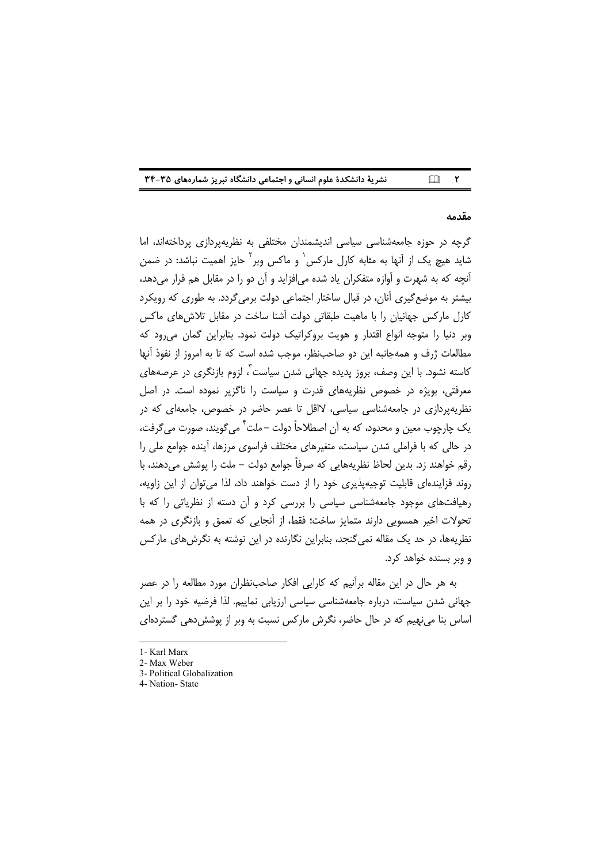| نشریهٔ دانشکدهٔ علوم انسانی و اجتماعی دانشگاه تبریز شمارههای ۳۵-۳۴ |  |  |  |
|--------------------------------------------------------------------|--|--|--|
|--------------------------------------------------------------------|--|--|--|

#### مقدمه

گرچه در حوزه جامعهشناسی سیاسی اندیشمندان مختلفی به نظریهپردازی پرداختهاند، اما شاید هیچ یک از آنها به مثابه کارل مارکس<sup>٬</sup> و ماکس وبر<sup>٬ </sup>حایز اهمیت نباشد: در ضمن آنچه که به شهرت و آوازه متفکران یاد شده می|فزاید و آن دو را در مقابل هم قرار می دهد، بیشتر به موضع گیری آنان، در قبال ساختار اجتماعی دولت برمی گردد. به طوری که رویکرد کارل مارکس جهانیان را با ماهیت طبقاتی دولت آشنا ساخت در مقابل تلاش های ماکس وبر دنیا را متوجه انواع اقتدار و هویت بروکراتیک دولت نمود. بنابراین گمان می رود که مطالعات ژرف و همهجانبه این دو صاحبiظر، موجب شده است که تا به امروز از نفوذ آنها کاسته نشود. با این وصف، بروز پدیده جهانی شدن سیاست<sup>۳</sup>، لزوم بازنگری در عرصههای معرفتی، بویژه در خصوص نظریههای قدرت و سیاست را ناگزیر نموده است. در اصل نظریهپردازی در جامعهشناسی سیاسی، لااقل تا عصر حاضر در خصوص، جامعهای که در يک چارچوب معين و محدود، که به آن اصطلاحاً دولت –ملت <sup>٢</sup> مي گويند، صورت مي گرفت، در حالی که با فراملی شدن سیاست، متغیرهای مختلف فراسوی مرزها، آینده جوامع ملی را رقم خواهند زد. بدین لحاظ نظریههایی که صرفاً جوامع دولت – ملت را پوشش میدهند، با روند فزایندهای قابلیت توجیهپذیری خود را از دست خواهند داد، لذا می توان از این زاویه، رهیافتهای موجود جامعهشناسی سیاسی را بررسی کرد و آن دسته از نظریاتی را که با تحولات اخیر همسویی دارند متمایز ساخت؛ فقط، از آنجایی که تعمق و بازنگری در همه نظریهها، در حد یک مقاله نمی گنجد، بنابراین نگارنده در این نوشته به نگرشهای مارکس و وبر بسنده خواهد کرد.

به هر حال در این مقاله برآنیم که کارایی افکار صاحبنظران مورد مطالعه را در عصر جهانی شدن سیاست، درباره جامعهشناسی سیاسی ارزیابی نماییم. لذا فرضیه خود را بر این اساس بنا می نهیم که در حال حاضر، نگرش مارکس نسبت به وبر از پوشش دهی گستردهای

<sup>1-</sup> Karl Marx

<sup>2-</sup> Max Weber

<sup>3-</sup> Political Globalization

<sup>4-</sup> Nation-State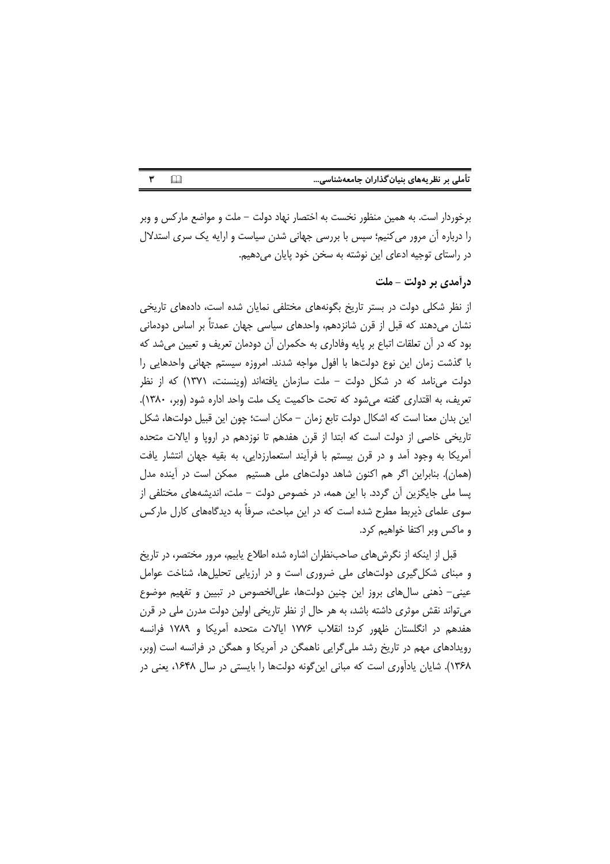| تأملی بر نظریههای بنیان گذاران جامعهشناسی |  |  |
|-------------------------------------------|--|--|

برخوردار است. به همین منظور نخست به اختصار نهاد دولت – ملت و مواضع مارکس و وبر را درباره آن مرور می کنیم؛ سپس با بررسی جهانی شدن سیاست و ارایه یک سری استدلال در راستای توجیه ادعای این نوشته به سخن خود پایان می دهیم.

## درآمدی بر دولت - ملت

از نظر شکلی دولت در بستر تاریخ بگونههای مختلفی نمایان شده است، دادههای تاریخی نشان میدهند که قبل از قرن شانزدهم، واحدهای سیاسی جهان عمدتاً بر اساس دودمانی بود که در آن تعلقات اتباع بر پایه وفاداری به حکمران آن دودمان تعریف و تعیین می شد که با گذشت زمان این نوع دولتها با افول مواجه شدند. امروزه سیستم جهانی واحدهایی را دولت میiامد که در شکل دولت – ملت سازمان یافتهاند (وینسنت، ۱۳۷۱) که از نظر تعریف، به اقتداری گفته می شود که تحت حاکمیت یک ملت واحد اداره شود (وبر، ۱۳۸۰). این بدان معنا است که اشکال دولت تابع زمان – مکان است؛ چون این قبیل دولتها، شکل تاریخی خاصی از دولت است که ابتدا از قرن هفدهم تا نوزدهم در اروپا و ایالات متحده آمریکا به وجود آمد و در قرن بیستم با فرآیند استعمارزدایی، به بقیه جهان انتشار یافت (همان). بنابراین اگر هم اکنون شاهد دولتهای ملی هستیم ِ ممکن است در آینده مدل پسا ملی جایگزین آن گردد. با این همه، در خصوص دولت – ملت، اندیشههای مختلفی از سوی علمای ذیربط مطرح شده است که در این مباحث، صرفاً به دیدگاههای کارل مارکس و ماکس وبر اکتفا خواهیم کرد.

قبل از اینکه از نگرش های صاحبنظران اشاره شده اطلاع پابیم، مرور مختصر، در تاریخ و مبنای شکل گیری دولتهای ملی ضروری است و در ارزیابی تحلیلها، شناخت عوامل عینی– ذهنی سالهای بروز این چنین دولتها، علیالخصوص در تبیین و تفهیم موضوع می تواند نقش موثری داشته باشد، به هر حال از نظر تاریخی اولین دولت مدرن ملی در قرن هفدهم در انگلستان ظهور کرد؛ انقلاب ۱۷۷۶ ایالات متحده آمریکا و ۱۷۸۹ فرانسه رویدادهای مهم در تاریخ رشد ملیگرایی ناهمگن در آمریکا و همگن در فرانسه است (وبر، ۱۳۶۸). شایان یادآوری است که مبانی اینگونه دولتها را بایستی در سال ۱۶۴۸، یعنی در

 $\Box$  $\pmb{\mathsf{r}}$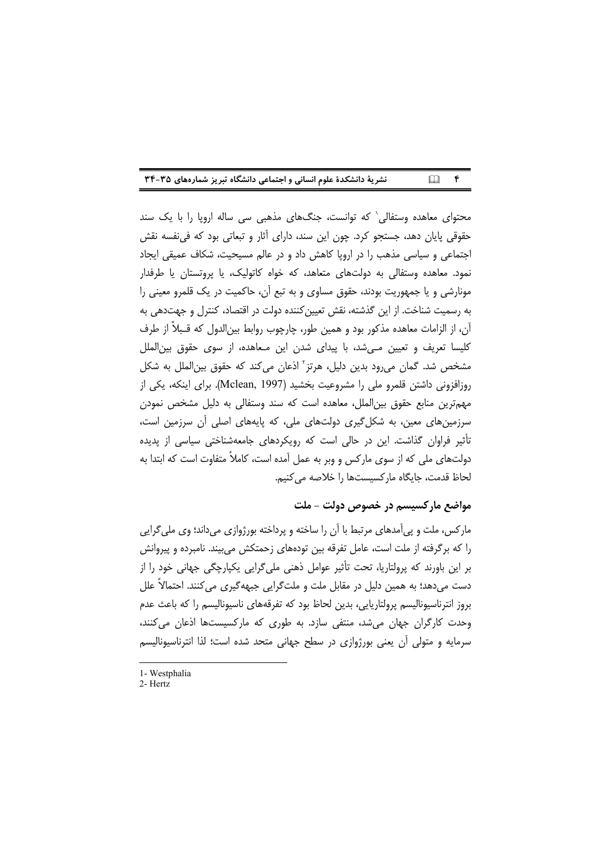| نشریهٔ دانشکدهٔ علوم انسانی و اجتماعی دانشگاه تبریز شمارههای ۳۵-۳۴ |  | $\Box$ $\uparrow$ |
|--------------------------------------------------------------------|--|-------------------|
|--------------------------------------------------------------------|--|-------------------|

محتوای معاهده وستفالی که توانست، جنگهای مذهبی سی ساله اروپا را با یک سند حقوقی پایان دهد، جستجو کرد. چون این سند، دارای آثار و تبعاتی بود که فی نفسه نقش اجتماعی و سیاسی مذهب را در اروپا کاهش داد و در عالم مسیحیت، شکاف عمیقی ایجاد نمود. معاهده وستفالی به دولتهای متعاهد، که خواه کاتولیک، یا پروتستان یا طرفدار مونارشی و یا جمهوریت بودند، حقوق مساوی و به تبع آن، حاکمیت در یک قلمرو معینی را به رسمیت شناخت. از این گذشته، نقش تعیین کننده دولت در اقتصاد، کنترل و جهتدهی به آن، از الزامات معاهده مذکور بود و همین طور، چارچوب روابط بین|لدول که قـبلاً از طرف کلیسا تعریف و تعیین مے شد، با پیدای شدن این مـعاهده، از سوی حقوق بین|لملل مشخص شد. گمان می رود بدین دلیل، هرتز<sup>۲</sup> اذعان می کند که حقوق بین|لملل به شکل روزافزونی داشتن قلمرو ملی را مشروعیت بخشید (Mclean, 1997). برای اینکه، یکی از مهم ترین منابع حقوق بین الملل، معاهده است که سند وستفالی به دلیل مشخص نمودن سرزمینهای معین، به شکل گیری دولتهای ملی، که پایههای اصلی آن سرزمین است، تأثیر فراوان گذاشت. این در حالی است که رویکردهای جامعهشناختی سیاسی از پدیده دولتهای ملی که از سوی مارکس و وبر به عمل آمده است، کاملاً متفاوت است که ابتدا به لحاظ قدمت، جابگاه ماركسيستها را خلاصه مي كنيم.

## مواضع مارکسیسم در خصوص دولت – ملت

مارکس، ملت و پیآمدهای مرتبط با آن را ساخته و پرداخته بورژوازی میداند؛ وی ملیگرایی را که برگرفته از ملت است، عامل تفرقه بین تودههای زحمتکش می،بیند. نامبرده و پیروانش ہر این باورند که پرولتاریا، تحت تأثیر عوامل ذهنی ملی گرایی پکیارچگی جهانی خود را از دست می،دهد؛ به همین دلیل در مقابل ملت و ملت5رایی جبههگیری می،کنند. احتمالاً علل بروز انترناسیونالیسم پرولتاریایی، بدین لحاظ بود که تفرقههای ناسیونالیسم را که باعث عدم وحدت کارگران جهان می شد، منتفی سازد. به طوری که مارکسیستها اذعان می کنند، سرمایه و متولی آن یعنی بورژوازی در سطح جهانی متحد شده است؛ لذا انترناسیونالیسم

<sup>1-</sup> Westphalia

<sup>2-</sup> Hertz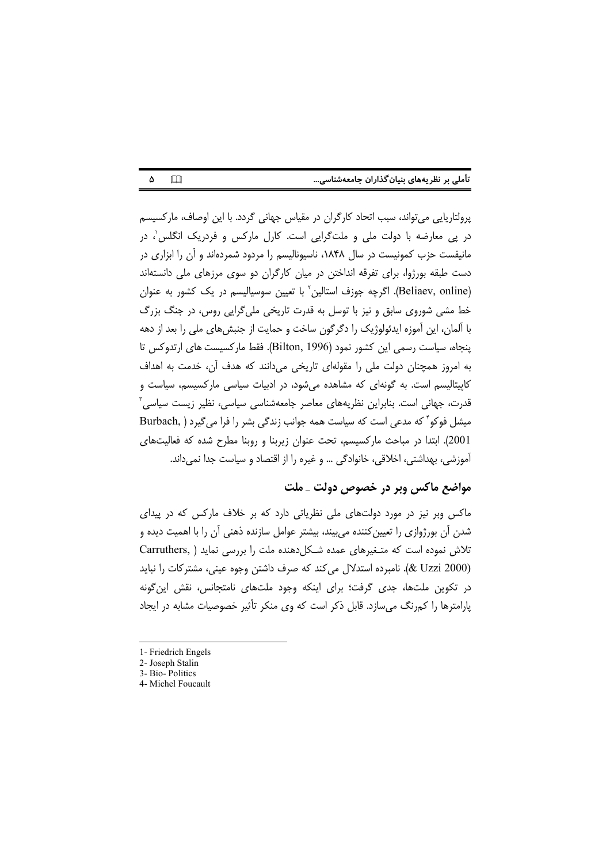| تأملی بر نظریههای بنیان گذاران جامعهشناسی |  |  |  |
|-------------------------------------------|--|--|--|
|                                           |  |  |  |

 $\Box$  $\Delta$ 

پرولتاریایی میتواند، سبب اتحاد کارگران در مقیاس جهانی گردد. با این اوصاف، مارکسیسم در پی معارضه با دولت ملی و ملتگرایی است. کارل مارکس و فردریک انگلس'، در مانیفست حزب کمونیست در سال ۱۸۴۸، ناسیونالیسم را مردود شمردهاند و آن را ابزاری در دست طبقه بورژوا، برای تفرقه انداختن در میان کارگران دو سوی مرزهای ملی دانستهاند (Beliaev, online). اگرچه جوزف استالین<sup>٬</sup> با تعیین سوسیالیسم در یک کشور به عنوان خط مشي شوروي سابق و نيز با توسل به قدرت تاريخي ملي گرايي روس، در جنگ بزرگ با ألمان، این أموزه ایدئولوژیک را دگرگون ساخت و حمایت از جنبشهای ملی را بعد از دهه ينجاه، سياست رسمي اين كشور نمود (Bilton, 1996). فقط ماركسيست هاي ارتدوكس تا به امروز همچنان دولت ملی را مقولهای تاریخی می دانند که هدف آن، خدمت به اهداف کاپیتالیسم است. به گونهای که مشاهده میشود، در ادبیات سیاسی مارکسیسم، سیاست و قدرت، جھانی است. بنابراین نظریههای معاصر جامعهشناسی سیاسی، نظیر زیست سیاسی ؒ میشل فوکو که مدعی است که سیاست همه جوانب زندگی بشر را فرا می گیرد ( .Burbach 2001). ابتدا در مباحث ماركسيسم، تحت عنوان زيربنا و روبنا مطرح شده كه فعاليتهاى آموزشي، بهداشتي، اخلاقي، خانوادگي … و غيره را از اقتصاد و سياست جدا نمي داند.

## مواضع ماکس ویر در خصوص دولت ـ ملت

ماکس وبر نیز در مورد دولتهای ملی نظریاتی دارد که بر خلاف مارکس که در پیدای شدن آن بورژوازی را تعیین کننده می بیند، بیشتر عوامل سازنده ذهنی آن را با اهمیت دیده و تلاش نموده است که متغیرهای عمده شکل دهنده ملت را بررسی نماید ( .Carruthers (2000 W Uzzi). نامبرده استدلال می کند که صرف داشتن وجوه عینی، مشترکات را نباید در تكوين ملتها، جدى گرفت؛ براى اينكه وجود ملتهاى نامتجانس، نقش اين گونه پارامترها را کمرنگ می سازد. قابل ذکر است که وی منکر تأثیر خصوصیات مشابه در ایجاد

<sup>1-</sup> Friedrich Engels

<sup>2-</sup> Joseph Stalin

<sup>3-</sup> Bio-Politics

<sup>4-</sup> Michel Foucault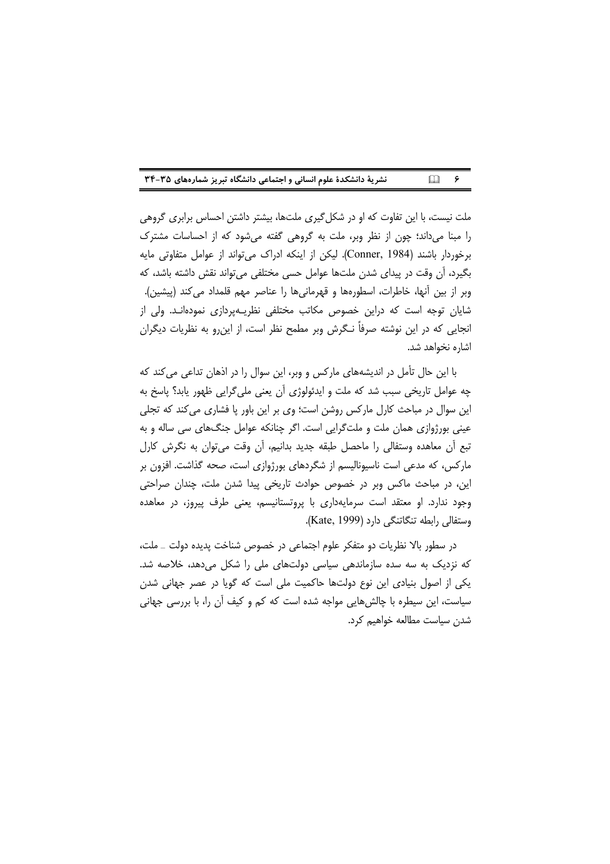|  | نشریهٔ دانشکدهٔ علوم انسانی و اجتماعی دانشگاه تبریز شمارههای ۳۵-۳۴ |  | $\Box$ $\sim$ |  |
|--|--------------------------------------------------------------------|--|---------------|--|
|--|--------------------------------------------------------------------|--|---------------|--|

ملت نیست، با این تفاوت که او در شکل گیری ملتها، بیشتر داشتن احساس برابری گروهی را مبنا میداند؛ چون از نظر وبر، ملت به گروهی گفته میشود که از احساسات مشترک برخوردار باشند (Conner, 1984). لیکن از اینکه ادراک می تواند از عوامل متفاوتی مایه بگیرد، ان وقت در پیدای شدن ملتها عوامل حسی مختلفی میتواند نقش داشته باشد، که وبر از بین آنها، خاطرات، اسطورهها و قهرمانیها را عناصر مهم قلمداد می کند (پیشین). شایان توجه است که دراین خصوص مکاتب مختلفی نظریــهپردازی نمودهانـد. ولی از انجایی که در این نوشته صرفاً نـگرش وبر مطمح نظر است، از اینرو به نظریات دیگران اشاره نخواهد شد.

با این حال تأمل در اندیشههای مارکس و وبر، این سوال را در اذهان تداعی می کند که چه عوامل تاریخی سبب شد که ملت و ایدئولوژی آن یعنی ملی گرایی ظهور یابد؟ پاسخ به این سوال در مباحث کارل مارکس روشن است؛ وی بر این باور پا فشاری می کند که تجلی عینی بورژوازی همان ملت و ملتگرایی است. اگر چنانکه عوامل جنگهای سی ساله و به تبع أن معاهده وستفالي را ماحصل طبقه جديد بدانيم، أن وقت مي¤وان به نگرش كارل مارکس، که مدعی است ناسیونالیسم از شگردهای بورژوازی است، صحه گذاشت. افزون بر این، در مباحث ماکس وبر در خصوص حوادث تاریخی پیدا شدن ملت، چندان صراحتی وجود ندارد. او معتقد است سرمایهداری با پروتستانیسم، یعنی طرف پیروز، در معاهده وستفالي رابطه تنگاتنگي دارد (Kate, 1999).

در سطور بالا نظریات دو متفکر علوم اجتماعی در خصوص شناخت پدیده دولت \_ ملت، که نزدیک به سه سده سازماندهی سیاسی دولتهای ملی را شکل میدهد، خلاصه شد. یکی از اصول بنیادی این نوع دولتها حاکمیت ملی است که گویا در عصر جهانی شدن سیاست، این سیطره با چالش هایی مواجه شده است که کم و کیف آن را، با بررسی جهانی شدن سياست مطالعه خواهيم كرد.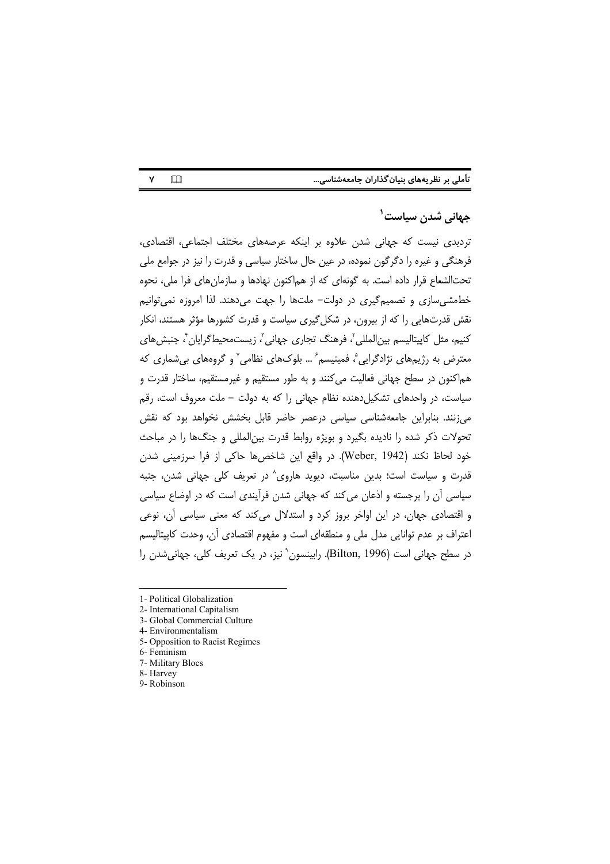| تأملی بر نظریههای بنیان گذاران جامعهشناسی |  |  |
|-------------------------------------------|--|--|
|                                           |  |  |

## جهان*ی* شدن سیاست<sup>۱</sup>

تردیدی نیست که جهانی شدن علاوه بر اینکه عرصههای مختلف اجتماعی، اقتصادی، فرهنگی و غیره را دگرگون نموده، در عین حال ساختار سیاسی و قدرت را نیز در جوامع ملی تحتالشعاع قرار داده است. به گونهای که از هماکنون نهادها و سازمانهای فرا ملی، نحوه خطمشی سازی و تصمیم گیری در دولت- ملتها را جهت می دهند. لذا امروزه نمی توانیم نقش قدرتهایی را که از بیرون، در شکل گیری سیاست و قدرت کشورها مؤثر هستند، انکار کنیم، مثل کاپیتالیسم بین|لمللی'، فرهنگ تجاری جهانی'، زیستمحیط5گرایان'، جنبشهای معترض به رژیمهای نژادگرایی ؓ، فمینیسم ؓ … بلوکهای نظامی ؓ و گروههای بی شماری که هم|کنون در سطح جهانی فعالیت می کنند و به طور مستقیم و غیرمستقیم، ساختار قدرت و سیاست، در واحدهای تشکیلدهنده نظام جهانی را که به دولت – ملت معروف است، رقم میزنند. بنابراین جامعهشناسی سیاسی درعصر حاضر قابل بخشش نخواهد بود که نقش تحولات ذکر شده را نادیده بگیرد و بویژه روابط قدرت بین|لمللی و جنگها را در مباحث خود لحاظ نكند (Weber, 1942). در واقع اين شاخص ها حاكي از فرا سرزميني شدن قدرت و سیاست است؛ بدین مناسبت، دیوید هاروی^ در تعریف کلی جهانی شدن، جنبه سیاسی آن را برجسته و اذعان می کند که جهانی شدن فرآیندی است که در اوضاع سیاسی و اقتصادی جهان، در این اواخر بروز کرد و استدلال می کند که معنی سیاسی آن، نوعی اعتراف بر عدم توانایی مدل ملی و منطقهای است و مفهوم اقتصادی آن، وحدت کاپیتالیسم در سطح جهانی است (Bilton, 1996). رابینسون` نیز، در یک تعریف کلی، جهانی شدن را

- 1- Political Globalization
- 2- International Capitalism
- 3- Global Commercial Culture
- 4- Environmentalism
- 5- Opposition to Racist Regimes
- 6- Feminism
- 7- Military Blocs
- 8- Harvey
- 9- Robinson

 $\Box$  $\mathsf{Y}$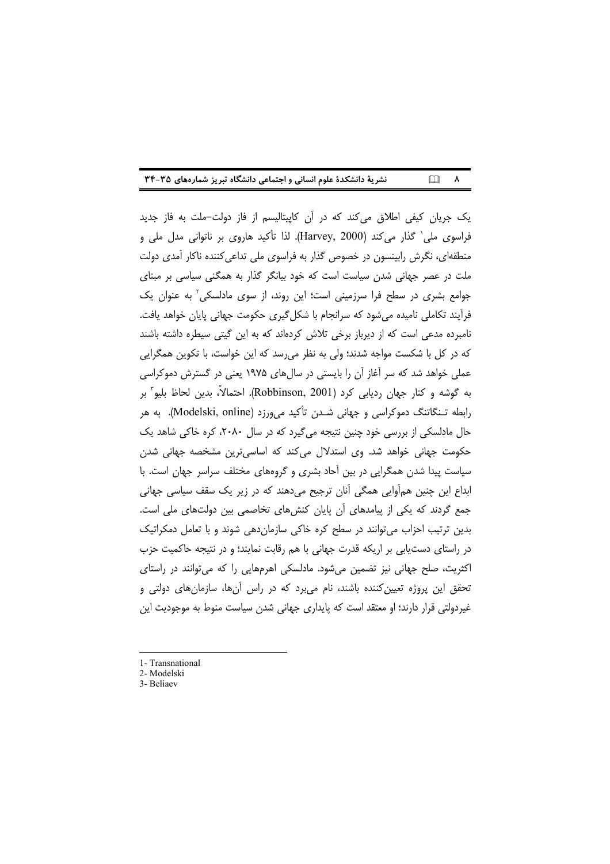| نشریهٔ دانشکدهٔ علوم انسانی و اجتماعی دانشگاه تبریز شمارههای ۳۵-۳۴ |  | $\Box$ $\land$ |
|--------------------------------------------------------------------|--|----------------|
|--------------------------------------------------------------------|--|----------------|

یک جریان کیفی اطلاق میکند که در آن کاپیتالیسم از فاز دولت–ملت به فاز جدید فراسوی ملی` گذار میکند (Harvey, 2000). لذا تأکید هاروی بر ناتوانی مدل ملی و منطقهای، نگرش رابینسون در خصوص گذار به فراسوی ملی تداعی کننده ناکار آمدی دولت ملت در عصر جهانی شدن سیاست است که خود بیانگر گذار به همگنی سیاسی بر مبنای جوامع بشری در سطح فرا سرزمینی است؛ این روند، از سوی مادلسکی ٔ به عنوان یک فرآیند تکاملی نامیده میشود که سرانجام با شکل گیری حکومت جهانی پایان خواهد یافت. نامبرده مدعی است که از دیرباز برخی تلاش کردهاند که به این گیتی سیطره داشته باشند که در کل با شکست مواجه شدند؛ ولی به نظر می رسد که این خواست، با تکوین همگرایی عملی خواهد شد که سر آغاز آن را بایستی در سال های ۱۹۷۵ یعنی در گسترش دموکراسی به گوشه و كنار جهان رديابي كرد (Robbinson, 2001). احتمالاً، بدين لحاظ بليو" بر رابطه تـنگاتنگ دموکراسی و جهانی شـدن تأکید میeرزد (Modelski, online). به هر حال مادلسکی از بررسی خود چنین نتیجه می گیرد که در سال ۲۰۸۰، کره خاکی شاهد یک حکومت جهانی خواهد شد. وی استدلال میکند که اساسیترین مشخصه جهانی شدن سیاست پیدا شدن همگرایی در بین آحاد بشری و گروههای مختلف سراسر جهان است. با ابداع این چنین همآوایی همگی آنان ترجیح میدهند که در زیر یک سقف سیاسی جهانی جمع گردند که یکی از پیامدهای آن پایان کنش های تخاصمی بین دولتهای ملی است. بدین ترتیب احزاب می توانند در سطح کره خاکی سازمان دهی شوند و با تعامل دمکراتیک در راستای دست یابی بر اریکه قدرت جهانی با هم رقابت نمایند؛ و در نتیجه حاکمیت حزب اکثریت، صلح جهانی نیز تضمین میشود. مادلسکی اهرمهایی را که میتوانند در راستای تحقق این پروژه تعیین کننده باشند، نام می برد که در راس آنها، سازمان های دولتی و غیردولتی قرار دارند؛ او معتقد است که پایداری جهانی شدن سیاست منوط به موجودیت این

<sup>1-</sup> Transnational

<sup>2-</sup> Modelski

<sup>3-</sup> Beliaev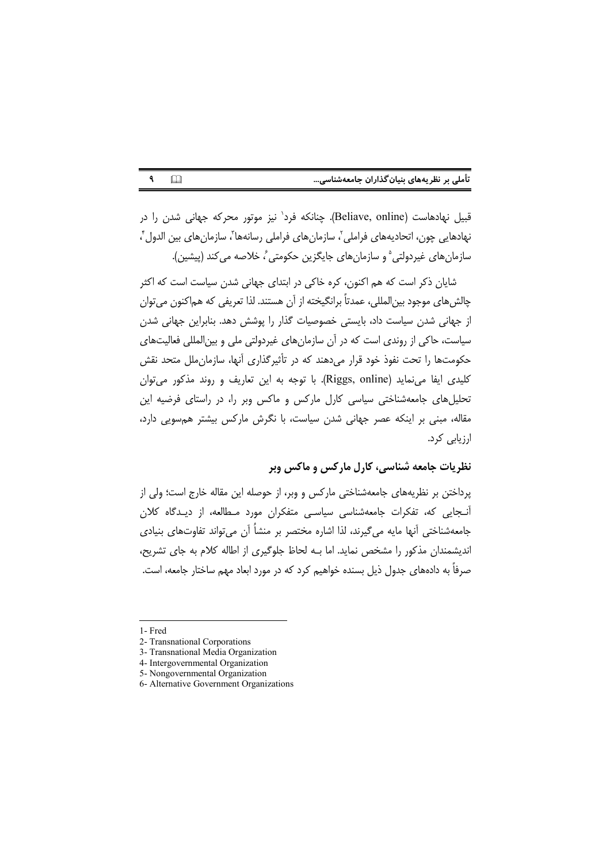| تأملی بر نظریههای بنیان گذاران جامعهشناسی |  |  |  |
|-------------------------------------------|--|--|--|
|-------------------------------------------|--|--|--|

قبیل نهادهاست (Beliave, online). چنانکه فرد' نیز موتور محرکه جهانی شدن را در نهادهایی چون، اتحادیههای فراملی'، سازمانهای فراملی رسانهها٬ سازمانهای بین الدول ْ، سازمانهای غیردولتی<sup>۵</sup> و سازمانهای جایگزین حکومتی ً، خلاصه می کند (پیشین).

شایان ذکر است که هم اکنون، کره خاکی در ابتدای جهانی شدن سیاست است که اکثر چالش هاي موجود بين|لمللي، عمدتاً برانگيخته از آن هستند. لذا تعريفي كه هم|كنون مي توان از جهانی شدن سیاست داد، بایستی خصوصیات گذار را یوشش دهد. بنابراین جهانی شدن سیاست، حاکی از روندی است که در آن سازمانهای غیردولتی ملی و بینالمللی فعالیتهای حکومتها را تحت نفوذ خود قرار می دهند که در تأثیرگذاری آنها، سازمان ملل متحد نقش کليدي ايفا مي نمايد (Riggs, online). با توجه به اين تعاريف و روند مذكور مي توان تحلیل های جامعه شناختی سیاسی کارل مارکس و ماکس وبر را، در راستای فرضیه این مقاله، مبنی بر اینکه عصر جهانی شدن سیاست، با نگرش مارکس بیشتر همسویی دارد، ارزیابی کرد.

## نظریات جامعه شناسی، کارل مارکس و ماکس وبر

پرداختن بر نظریههای جامعهشناختی مارکس و وبر، از حوصله این مقاله خارج است؛ ولی از آنـجایی که، تفکرات جامعهشناسی سیاسـی متفکران مورد مـطالعه، از دیـدگاه کلان جامعهشناختی آنها مایه می گیرند، لذا اشاره مختصر بر منشاً آن می تواند تفاوتهای بنیادی اندیشمندان مذکور را مشخص نماید. اما بـه لحاظ جلوگیری از اطاله کلام به جای تشریح، صرفاً به دادههای جدول ذیل بسنده خواهیم کرد که در مورد ابعاد مهم ساختار جامعه، است.

 $\mathbf{q}$ 

 $\Box$ 

<sup>1-</sup>Fred

<sup>2-</sup> Transnational Corporations

<sup>3-</sup> Transnational Media Organization

<sup>4-</sup> Intergovernmental Organization

<sup>5-</sup> Nongovernmental Organization

<sup>6-</sup> Alternative Government Organizations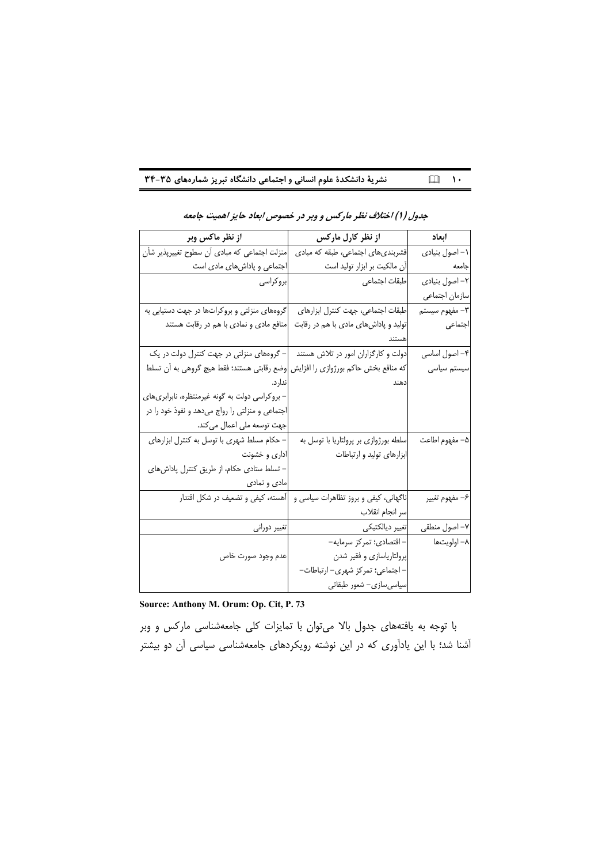نشریهٔ دانشکدهٔ علوم انسانی و اجتماعی دانشگاه تبریز شمارههای ۳۵-۳۴  $\Box$   $\Box$ 

| از نظر ماکس وبر                                                                                | از نظر کارل مارکس                                                       | ابعاد                 |
|------------------------------------------------------------------------------------------------|-------------------------------------------------------------------------|-----------------------|
| منزلت اجتماعی که مبادی آن سطوح تغییرپذیر شأن                                                   | قشربندی های اجتماعی، طبقه که مبادی                                      | ١- اصول بنيادي        |
| اجتماعی و پاداشهای مادی است                                                                    | آن مالکیت بر ابزار تولید است                                            | جامعه                 |
| بروكراسى                                                                                       | طبقات اجتماعي                                                           | ٢- اصول بنيادي        |
|                                                                                                |                                                                         | سازمان اجتماعي        |
| گروههای منزلتی و بروکراتها در جهت دستیابی به                                                   | طبقات اجتماعی، جهت کنترل ابزارهای                                       | ٣– مفهوم سيستم        |
| منافع مادی و نمادی با هم در رقابت هستند                                                        | تولید و پاداشهای مادی با هم در رقابت                                    | اجتماعى               |
|                                                                                                |                                                                         |                       |
| دولت و کارگزاران امور در تلاش هستند $\qquad \qquad -$ گروههای منزلتی در جهت کنترل دولت در یک   |                                                                         | ۴– اصول اساسی         |
| که منافع بخش حاکم بورژوازی را افزایش <mark>ا</mark> وضع رقابتی هستند؛ فقط هیچ گروهی به آن تسلط |                                                                         | سیستم سیاسی           |
| ندار د.                                                                                        | دهند                                                                    |                       |
| – بروکراسی دولت به گونه غیرمنتظره، نابرابریهای                                                 |                                                                         |                       |
| اجتماعی و منزلتی را رواج میدهد و نفوذ خود را در                                                |                                                                         |                       |
| جهت توسعه ملي اعمال مي كند.                                                                    |                                                                         |                       |
| – حکام مسلط شهری با توسل به کنترل ابزارهای                                                     | سلطه بورژوازی بر پرولتاریا با توسل به                                   | ۵– مفهوم اطاعت        |
| اداری و خشونت                                                                                  | ابزارهای تولید و ارتباطات                                               |                       |
| – تسلط ستادی حکام، از طریق کنترل پاداشهای                                                      |                                                                         |                       |
| مادي و نمادي                                                                                   |                                                                         |                       |
|                                                                                                | ناگهانی، کیفی و بروز تظاهرات سیاسی و  أهسته، کیفی و تضعیف در شکل اقتدار | ۶– مفهوم تغيير        |
|                                                                                                | سر انجام انقلاب                                                         |                       |
| تغيير دورانى                                                                                   | تغيير ديالكتيكي                                                         | ۷- اصول منطق <i>ی</i> |
|                                                                                                | - اقتصادي؛ تمركز سرمايه-                                                | ۸– اولویتها           |
| عدم وجود صورت خاص                                                                              | إپرولتارياسازي و فقير شدن                                               |                       |
|                                                                                                | – اجتماعی؛ تمرکز شهری– ارتباطات–                                        |                       |
|                                                                                                | سیاسیسازی- شعور طبقاتی                                                  |                       |

#### جدول (۱) اختلاف نظر مارکس و وبر در خصوص ابعاد حایز اهمیت جامعه

Source: Anthony M. Orum: Op. Cit, P. 73

با توجه به یافتههای جدول بالا میتوان با تمایزات کلی جامعهشناسی مارکس و وبر آشنا شد؛ با این یادآوری که در این نوشته رویکردهای جامعهشناسی سیاسی آن دو بیشتر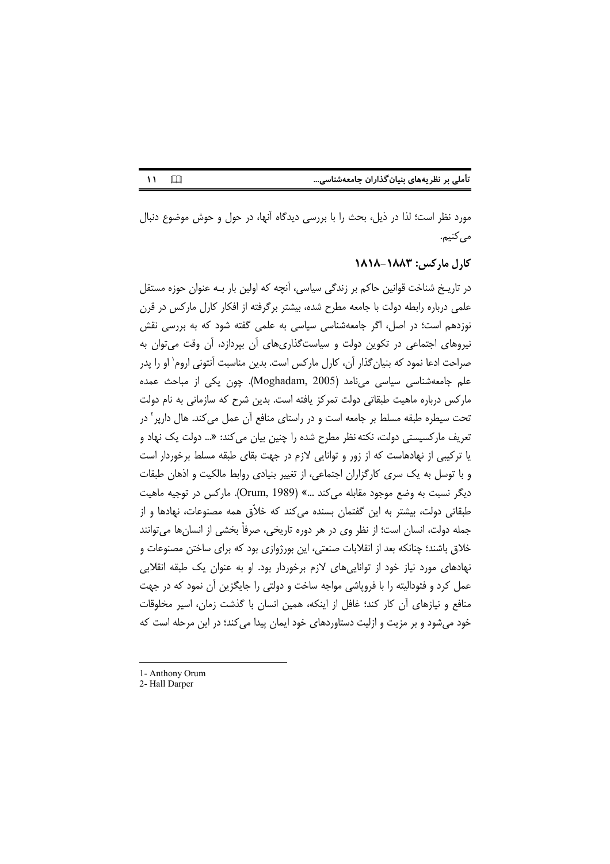تأملی بر نظریههای بنیان گذاران جامعهشناسی...

 $\Box$  $\mathbf{M}$ 

مورد نظر است؛ لذا در ذیل، بحث را با بررسی دیدگاه آنها، در حول و حوش موضوع دنبال مى كنيم.

### کارل مارکس: ۱۸۸۳-۱۸۱۸

در تاریـخ شناخت قوانین حاکم بر زندگی سیاسی، آنچه که اولین بار بـه عنوان حوزه مستقل علمی درباره رابطه دولت با جامعه مطرح شده، بیشتر برگرفته از افکار کارل مارکس در قرن نوزدهم است؛ در اصل، اگر جامعهشناسی سیاسی به علمی گفته شود که به بررسی نقش نیروهای اجتماعی در تکوین دولت و سیاستگذاریهای آن بیردازد، آن وقت می توان به صراحت ادعا نمود که بنیان گذار آن، کارل مارکس است. بدین مناسبت آنتونی اروم` او را پدر علم جامعهشناسی سیاسی میiامد (Moghadam, 2005). چون یکی از مباحث عمده مارکس درباره ماهیت طبقاتی دولت تمرکز یافته است. بدین شرح که سازمانی به نام دولت تحت سیطره طبقه مسلط بر جامعه است و در راستای منافع آن عمل می کند. هال دارپر ۲ در تعریف مارکسیستی دولت، نکته نظر مطرح شده را چنین بیان میکند: «... دولت یک نهاد و یا ترکیبی از نهادهاست که از زور و توانایی لازم در جهت بقای طبقه مسلط برخوردار است و با توسل به یک سری کارگزاران اجتماعی، از تغییر بنیادی روابط مالکیت و اذهان طبقات ديگر نسبت به وضع موجود مقابله مي كند ...» (Orum, 1989). ماركس در توجيه ماهيت طبقاتی دولت، بیشتر به این گفتمان بسنده می کند که خلاّق همه مصنوعات، نهادها و از جمله دولت، انسان است؛ از نظر وی در هر دوره تاریخی، صرفاً بخشی از انسانها میتوانند خلاق باشند؛ چنانکه بعد از انقلابات صنعتی، این بورژوازی بود که برای ساختن مصنوعات و نهادهای مورد نیاز خود از توانایی های لازم برخوردار بود. او به عنوان یک طبقه انقلابی عمل کرد و فئودالیته را با فرویاشی مواجه ساخت و دولتی را جایگزین آن نمود که در جهت منافع و نیازهای آن کار کند؛ غافل از اینکه، همین انسان با گذشت زمان، اسیر مخلوقات خود می شود و بر مزیت و ازلیت دستاوردهای خود ایمان پیدا می کند؛ در این مرحله است که

<sup>1-</sup> Anthony Orum

<sup>2-</sup> Hall Darper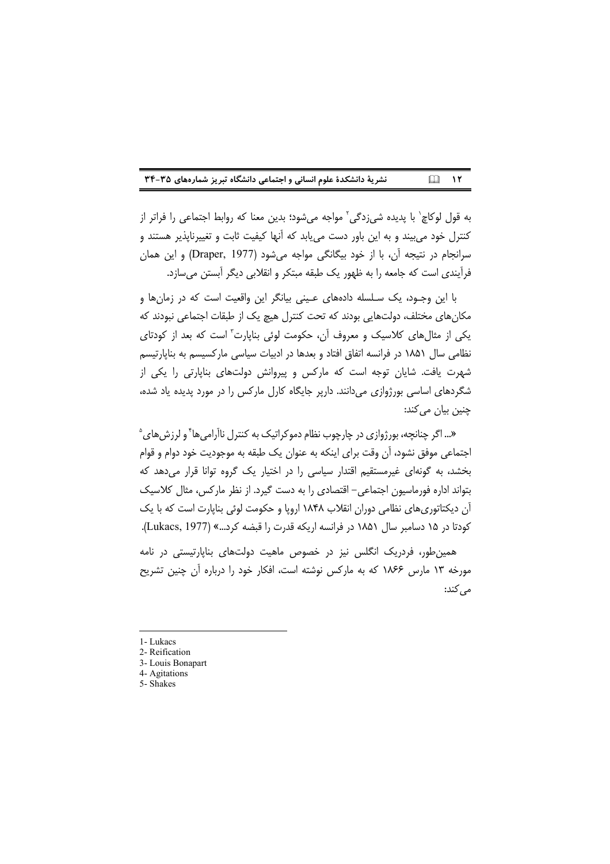| نشریهٔ دانشکدهٔ علوم انسانی و اجتماعی دانشگاه تبریز شمارههای ۳۵-۳۴ | $\Box$ $\Upsilon$ |
|--------------------------------------------------------------------|-------------------|
|--------------------------------------------------------------------|-------------------|

به قول لوكاچ` با پديده شيزدگي<sup>٬</sup> مواجه ميشود؛ بدين معنا كه روابط اجتماعي را فراتر از کنترل خود می بیند و به این باور دست می یابد که آنها کیفیت ثابت و تغییرناپذیر هستند و سرانجام در نتیجه آن، با از خود بیگانگی مواجه می شود (Draper, 1977) و این همان فرآیندی است که جامعه را به ظهور یک طبقه مبتکر و انقلابی دیگر آبستن می سازد.

با این وجـود، یک سـلسله دادههای عـینی بیانگر این واقعیت است که در زمانها و مکانهای مختلف، دولتهایی بودند که تحت کنترل هیچ یک از طبقات اجتماعی نبودند که یکی از مثال های کلاسیک و معروف آن، حکومت لوئی بنایارت" است که بعد از کودتای نظامی سال ۱۸۵۱ در فرانسه اتفاق افتاد و بعدها در ادبیات سیاسی مارکسیسم به بنایارتیسم شهرت یافت. شایان توجه است که مارکس و پیروانش دولتهای بناپارتی را یکی از شگردهای اساسی بورژوازی می دانند. داریر جایگاه کارل مارکس را در مورد پدیده یاد شده، چنین بیان می کند:

«... اگر چنانچه، پورژوازی در چارچوب نظام دموکراتیک به کنترل ناآرامی ها ٔ و لرزش های <sup>۵</sup> اجتماعی موفق نشود، أن وقت برای اینکه به عنوان یک طبقه به موجودیت خود دوام و قوام بخشد، به گونهای غیرمستقیم اقتدار سیاسی را در اختیار یک گروه توانا قرار می دهد که بتواند اداره فورماسیون اجتماعی- اقتصادی را به دست گیرد. از نظر مارکس، مثال کلاسیک آن دیکتاتوریهای نظامی دوران انقلاب ۱۸۴۸ اروپا و حکومت لوئی بناپارت است که با یک كودتا در ١۵ دسامبر سال ١٨٥١ در فرانسه اريكه قدرت را قبضه كرد...» (Lukacs, 1977).

همین طور، فردریک انگلس نیز در خصوص ماهیت دولتهای بنایارتیستی در نامه مورخه ١٣ مارس ١٨۶۶ كه به ماركس نوشته است، افكار خود را درباره آن چنين تشريح مے ,کند:

- 1- Lukacs
- 2- Reification
- 3- Louis Bonapart 4- Agitations
- 5- Shakes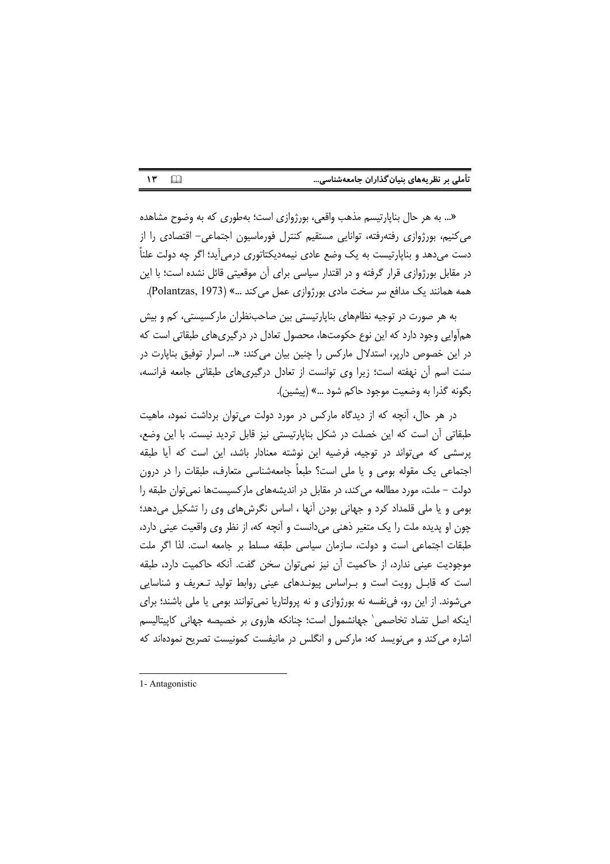| تأملی بر نظریههای بنیان گذاران جامعهشناسی |  |  |  |
|-------------------------------------------|--|--|--|
|                                           |  |  |  |

 $\mathcal{N}$  $\Box$ 

«... به هر حال بناپارتیسم مذهب واقعی، بورژوازی است؛ بهطوری که به وضوح مشاهده می کنیم، بورژوازی رفتهرفته، توانایی مستقیم کنترل فورماسیون اجتماعی– اقتصادی را از دست می،دهد و بناپارتیست به یک وضع عادی نیمهدیکتاتوری درمی آید؛ اگر چه دولت علناً در مقابل بورژوازی قرار گرفته و در اقتدار سیاسی برای آن موقعیتی قائل نشده است؛ با این همه همانند یک مدافع سر سخت مادی بورژوازی عمل می کند ...» (Polantzas, 1973).

به هر صورت در توجیه نظامهای بناپارتیستی بین صاحبنظران مارکسیستی، کم و بیش همأوایی وجود دارد که این نوع حکومتها، محصول تعادل در درگیریهای طبقاتی است که در این خصوص داریر، استدلال مارکس را چنین بیان می *کند: «...* اسرار توفیق بنایارت در سنت اسم آن نهفته است؛ زیرا وی توانست از تعادل درگیریهای طبقاتی جامعه فرانسه، بگونه گذرا به وضعیت موجود حاکم شود …» (پیشین).

در هر حال، آنچه که از دیدگاه مارکس در مورد دولت می توان برداشت نمود، ماهیت طبقاتی آن است که این خصلت در شکل بنایارتیستی نیز قابل تردید نیست. با این وضع، پرسشی که میتواند در توجیه، فرضیه این نوشته معنادار باشد، این است که اًیا طبقه اجتماعی یک مقوله بومی و یا ملی است؟ طبعاً جامعهشناسی متعارف، طبقات را در درون دولت – ملت، مورد مطالعه می کند، در مقابل در اندیشههای مارکسیستها نمی توان طبقه را بومی و یا ملی قلمداد کرد و جهانی بودن آنها ، اساس نگرشهای وی را تشکیل میدهد؛ چون او پدیده ملت را یک متغیر ذهنی میدانست و آنچه که، از نظر وی واقعیت عینی دارد، طبقات اجتماعی است و دولت، سازمان سیاسی طبقه مسلط بر جامعه است. لذا اگر ملت موجودیت عینی ندارد، از حاکمیت أن نیز نمی¤وان سخن گفت. أنکه حاکمیت دارد، طبقه است که قابـل رویت است و بـراساس پیونـدهای عینی روابط تولید تـعریف و شناسایی میشوند. از این رو، فی نفسه نه بورژوازی و نه پرولتاریا نمی توانند بومی یا ملی باشند؛ برای اینکه اصل تضاد تخاصمی` جهانشمول است؛ چنانکه هاروی بر خصیصه جهانی کاپیتالیسم اشاره می کند و مینویسد که: مارکس و انگلس در مانیفست کمونیست تصریح نمودهاند که

<sup>1-</sup> Antagonistic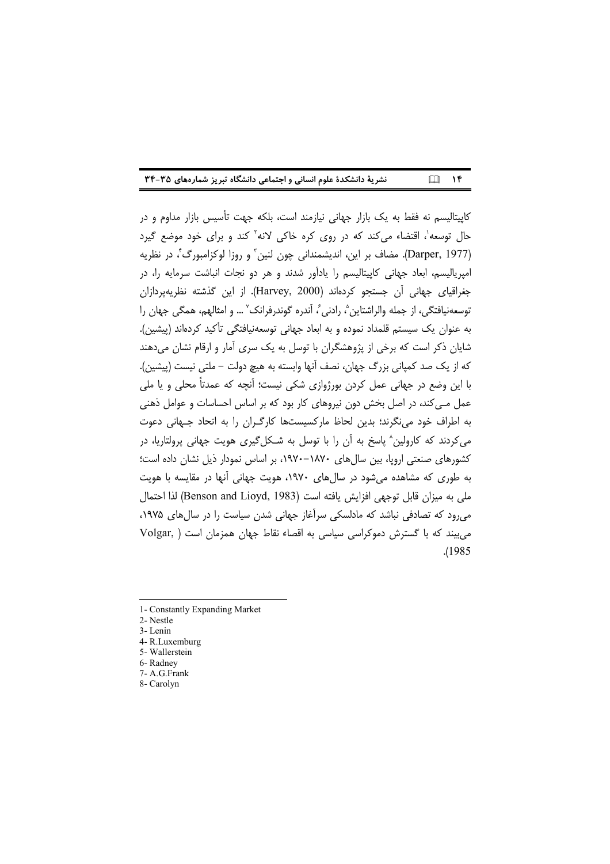| نشریهٔ دانشکدهٔ علوم انسانی و اجتماعی دانشگاه تبریز شمارههای ۳۵-۳۴ | $\Box$ $\Upsilon$ |
|--------------------------------------------------------------------|-------------------|
|--------------------------------------------------------------------|-------------------|

کاپیتالیسم نه فقط به یک بازار جهانی نیازمند است، بلکه جهت تأسیس بازار مداوم و در حال توسعه'، اقتضاء می کند که در روی کره خاکی لانه' کند و برای خود موضع گیرد (Darper, 1977). مضاف بر اين، انديشمنداني چون لنين ّ و روزا لوكزامبورگ ّ، در نظريه امیریالیسم، ابعاد جهانی کاپیتالیسم را یادآور شدند و هر دو نجات انباشت سرمایه را، در جغراقیای جهانی آن جستجو کردهاند (Harvey, 2000). از این گذشته نظریهپردازان توسعهنيافتگي، از جمله والراشتاين ؓ، رادني ؒ، آندره گوندرفرانک ؒ … و امثالهم، همگي جهان را به عنوان یک سیستم قلمداد نموده و به ابعاد جهانی توسعهنیافتگی تأکید کردهاند (پیشین). شایان ذکر است که برخی از پژوهشگران با توسل به یک سری آمار و ارقام نشان می دهند كه از يک صد کمياني بزرگ جهان، نصف آنها وابسته به هيچ دولت – ملتي نيست (پيشين). با این وضع در جهانی عمل کردن بورژوازی شکی نیست؛ آنچه که عمدتاً محلی و یا ملی عمل مـی کند، در اصل بخش دون نیروهای کار بود که بر اساس احساسات و عوامل ذهنی به اطراف خود می نگرند؛ بدین لحاظ مارکسیستها کارگران را به اتحاد جـهانی دعوت می کردند که کارولین^ پاسخ به آن را با توسل به شـکلگیری هویت جهانی پرولتاریا، در کشورهای صنعتی اروپا، بین سالهای ۱۸۷۰–۱۹۷۰، بر اساس نمودار ذیل نشان داده است؛ به طوری که مشاهده می شود در سال های ۱۹۷۰، هویت جهانی آنها در مقایسه با هویت ملي به ميزان قابل توجهي افزايش يافته است (Benson and Lioyd, 1983) لذا احتمال می رود که تصادفی نباشد که مادلسکی سرآغاز جهانی شدن سیاست را در سال های ۱۹۷۵، می بیند که با گسترش دموکراسی سیاسی به اقصاء نقاط جهان همزمان است ( Volgar .(1985)

8- Carolyn

<sup>1-</sup> Constantly Expanding Market

<sup>2-</sup> Nestle

<sup>3-</sup>Lenin

<sup>4-</sup> R.Luxemburg

<sup>5-</sup> Wallerstein

<sup>6-</sup> Radney 7- A.G.Frank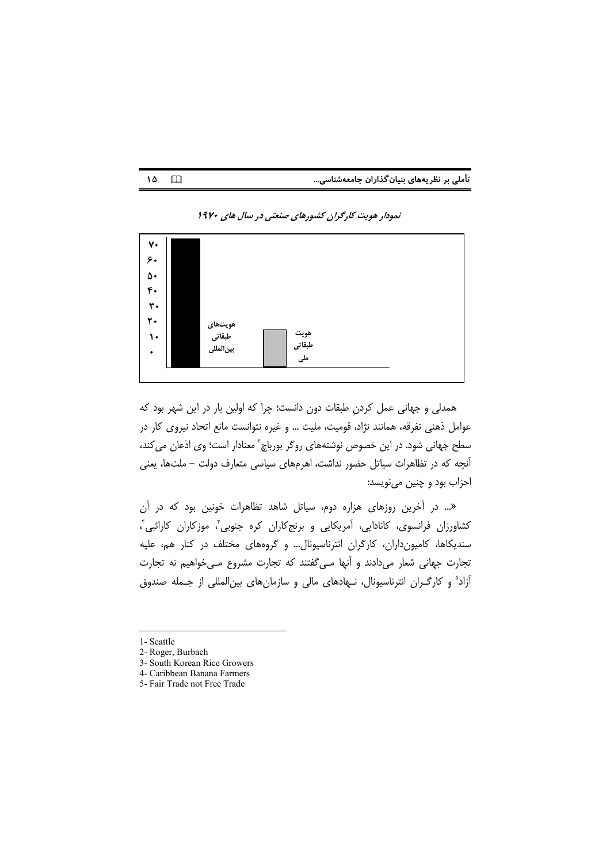|  | تأملی بر نظریههای بنیان گذاران جامعهشناسی |  |
|--|-------------------------------------------|--|
|--|-------------------------------------------|--|



#### نمودار هویت کارگران کشورهای صنعتی در سال های ۱۹۷۰

همدلی و جهانی عمل کردن طبقات دون دانست؛ چرا که اولین بار در این شهر بود که عوامل ذهني تفرقه، همانند نژاد، قوميت، مليت ... و غيره نتوانست مانع اتحاد نيروى كار در سطح جهانی شود. در این خصوص نوشتههای روگر بورباچ<sup>۲</sup> معنادار است؛ وی اذعان می کند، آنچه که در تظاهرات سیاتل حضور نداشت، اهرمهای سیاسی متعارف دولت – ملتها، یعنی احزاب بود و چنین مینویسد:

«... در آخرین روزهای هزاره دوم، سیاتل شاهد تظاهرات خونین بود که در آن کشاورزان فرانسوی، کانادایی، آمریکایی و برنجکاران کره جنوبی<sup>"</sup>، موزکاران کارائبی<sup>"</sup>، سندیکاها، کامیون داران، کارگران انترناسیونال… و گروههای مختلف در کنار هم، علیه تجارت جهانی شعار میدادند و أنها مـیگفتند که تجارت مشروع مـیخواهیم نه تجارت آزاد<sup>ه</sup> و کارگـران انترناسیونال، نـهادهای مالی و سازمانهای بین|لمللی از جـمله صندوق

- 1- Seattle
- 2- Roger, Burbach

 $10$   $\Box$ 

- 3- South Korean Rice Growers
- 4- Caribbean Banana Farmers
- 5- Fair Trade not Free Trade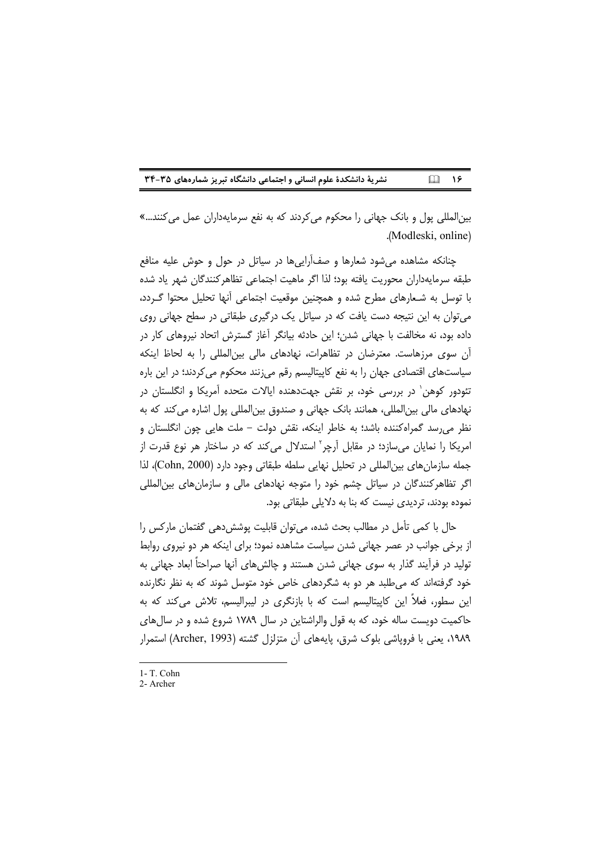#### نشریة دانشکدة علوم انسانی و اجتماعی دانشگاه تبریز شمارههای ۳۵-۳۴  $\Box$   $\sqrt{5}$

بین|لمللی پول و بانک جهانی را محکوم می کردند که به نفع سرمایهداران عمل می کنند...» .(Modleski, online)

چنانکه مشاهده می شود شعارها و صف آراییها در سیاتل در حول و حوش علیه منافع طبقه سرمايهداران محوريت يافته بود؛ لذا اگر ماهيت اجتماعي تظاهر كنندگان شهر ياد شده با توسل به شـعارهای مطرح شده و همچنین موقعیت اجتماعی آنها تحلیل محتوا گـردد، می توان به این نتیجه دست یافت که در سیاتل یک درگیری طبقاتی در سطح جهانی روی داده بود، نه مخالفت با جهانی شدن؛ این حادثه بیانگر آغاز گسترش اتحاد نیروهای کار در آن سوی مرزهاست. معترضان در تظاهرات، نهادهای مالی بین المللی را به لحاظ اینکه سیاستهای اقتصادی جهان را به نفع کاپیتالیسم رقم می;نند محکوم می کردند؛ در این باره تئودور کوهن' در بررسی خود، بر نقش جهتدهنده ایالات متحده آمریکا و انگلستان در نهادهای مالی بین|لمللی، همانند بانک جهانی و صندوق بین|لمللی پول اشاره می کند که به نظر می٫سد گمراهکننده باشد؛ به خاطر اینکه، نقش دولت – ملت هایی چون انگلستان و امریکا را نمایان میسازد؛ در مقابل اًرچر<sup>٬ ا</sup>ستدلال میکند که در ساختار هر نوع قدرت از جمله سازمان های بین المللی در تحلیل نهایی سلطه طبقاتی وجود دارد (Cohn, 2000)، لذا اگر تظاهر کنندگان در سیاتل چشم خود را متوجه نهادهای مالی و سازمانهای بین المللی نموده بودند، تردیدی نیست که بنا به دلایلی طبقاتی بود.

حال با كمى تأمل در مطالب بحث شده، مى توان قابليت پوشش دهى گفتمان ماركس را از برخی جوانب در عصر جهانی شدن سیاست مشاهده نمود؛ برای اینکه هر دو نیروی روابط تولید در فرأیند گذار به سوی جهانی شدن هستند و چالشهای أنها صراحتاً ابعاد جهانی به خود گرفتهاند که می طلبد هر دو به شگردهای خاص خود متوسل شوند که به نظر نگارنده این سطور، فعلاً این کاییتالیسم است که با بازنگری در لیبرالیسم، تلاش میکند که به حاکمیت دویست ساله خود، که به قول والراشتاین در سال ۱۷۸۹ شروع شده و در سال های ۱۹۸۹، یعنی با فرویاشی بلوک شرق، پایههای آن متزلزل گشته (Archer, 1993) استمرار

1- T. Cohn

<sup>2-</sup> Archer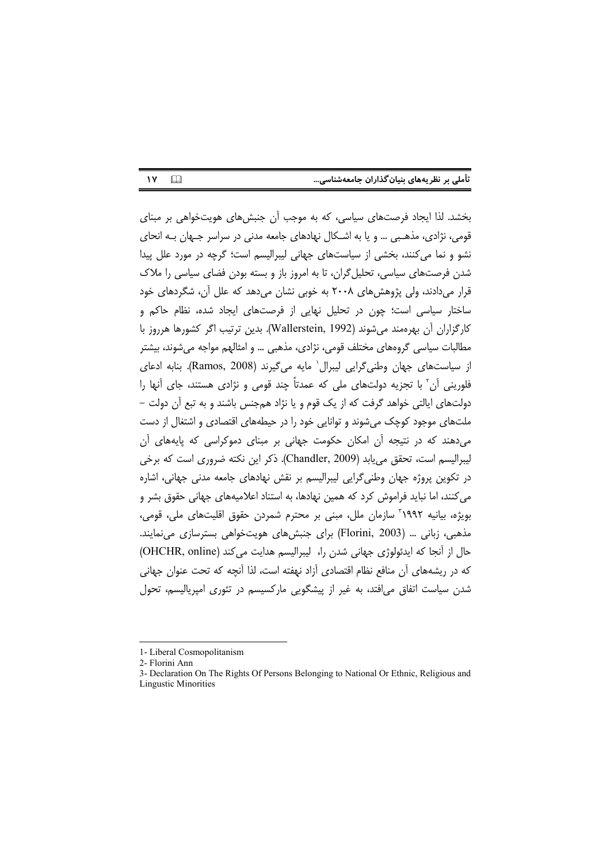| تأملی بر نظریههای بنیان گذاران جامعهشناسی |  |  |  |
|-------------------------------------------|--|--|--|
|                                           |  |  |  |

 $\Box$  $\mathbf{y}$ 

بخشد. لذا ایجاد فرصتهای سیاسی، که به موجب آن جنبشهای هویتخواهی بر مبنای قومی، نژادی، مذهبی ... و یا به اشکال نهادهای جامعه مدنی در سراسر جهان به انحای نشو و نما می کنند، بخشی از سیاستهای جهانی لیبرالیسم است؛ گرچه در مورد علل پیدا شدن فرصتهای سیاسی، تحلیل گران، تا به امروز باز و بسته بودن فضای سیاسی را ملاک قرار میدادند، ولی پژوهشهای ۲۰۰۸ به خوبی نشان میدهد که علل آن، شگردهای خود ساختار سیاسی است؛ چون در تحلیل نهایی از فرصتهای ایجاد شده، نظام حاکم و كارگزاران آن بهرهمند مي شوند (Wallerstein, 1992). بدين ترتيب اگر كشورها هرروز با مطالبات سیاسی گروههای مختلف قومی، نژادی، مذهبی … و امثالهم مواجه می شوند، بیشتر از سیاستهای جهان وطنی گرایی لیبرال` مایه می گیرند (Ramos, 2008). بنابه ادعای فلورینی آن<sup>۲</sup> با تجزیه دولتهای ملی که عمدتاً چند قومی و نژادی هستند، جای آنها را دولتهای ایالتی خواهد گرفت که از یک قوم و یا نژاد همجنس باشند و به تبع آن دولت – ملتهای موجود کوچک می شوند و توانایی خود را در حیطههای اقتصادی و اشتغال از دست می دهند که در نتیجه أن امکان حکومت جهانی بر مبنای دموکراسی که پایههای أن لیبرالیسم است، تحقق می یابد (Chandler, 2009). ذکر این نکته ضروری است که برخی در تکوین پروژه جهان وطنی گرایی لیبرالیسم بر نقش نهادهای جامعه مدنی جهانی، اشاره می کنند، اما نباید فراموش کرد که همین نهادها، به استناد اعلامیههای جهانی حقوق بشر و بويژه، بيانيه ١٩٩٢ ّ سازمان ملل، مبنى بر محترم شمردن حقوق اقليتهاى ملى، قومى، مذهبی، زبانی … (Florini, 2003) برای جنبش های هویتخواهی بسترسازی می نمایند. حال از آنجا که ایدئولوژی جهانی شدن را، لیبرالیسم هدایت می کند (OHCHR, online) كه در ریشههای آن منافع نظام اقتصادی آزاد نهفته است، لذا آنچه كه تحت عنوان جهانی شدن سیاست اتفاق می افتد، به غیر از پیشگویی مارکسیسم در تئوری امپریالیسم، تحول

<sup>1-</sup> Liberal Cosmopolitanism

<sup>2-</sup> Florini Ann

<sup>3-</sup> Declaration On The Rights Of Persons Belonging to National Or Ethnic, Religious and **Lingustic Minorities**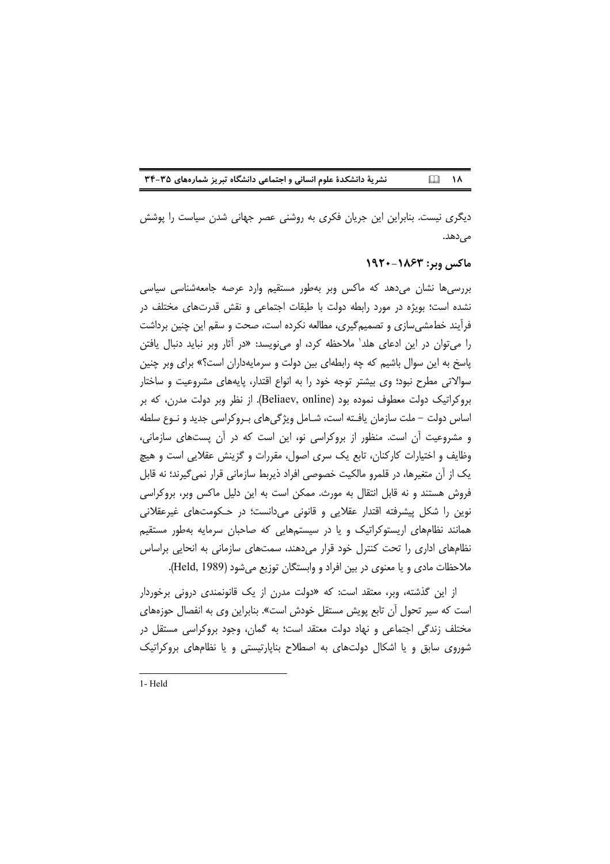نشریة دانشکدة علوم انسانی و اجتماعی دانشگاه تبریز شمارههای ۳۵-۳۴  $\Box$  18

دیگری نیست. بنابراین این جریان فکری به روشنی عصر جهانی شدن سیاست را پوشش مىدھد.

### ماكس وبر: ١٨۶٣-١٩٢٠

بررسی ها نشان میدهد که ماکس وبر بهطور مستقیم وارد عرصه جامعهشناسی سیاسی نشده است؛ بویژه در مورد رابطه دولت با طبقات اجتماعی و نقش قدرتهای مختلف در فرأیند خطمشی،ازی و تصمیمگیری، مطالعه نکرده است، صحت و سقم این چنین برداشت را می توان در این ادعای هلد<sup>י</sup> ملاحظه کرد، او می نویسد: «در آثار وبر نباید دنبال یافتن پاسخ به این سوال باشیم که چه رابطهای بین دولت و سرمایهداران است؟» برای وبر چنین سوالاتی مطرح نبود؛ وی بیشتر توجه خود را به انواع اقتدار، پایههای مشروعیت و ساختار بروکراتیک دولت معطوف نموده بود (Beliaev, online). از نظر وبر دولت مدرن، که بر اساس دولت – ملت سازمان يافـته است، شـامل ويژگىهاى بـروكراسى جديد و نـوع سلطه و مشروعیت آن است. منظور از بروکراسی نو، این است که در آن پستهای سازمانی، وظایف و اختیارات کارکنان، تابع یک سری اصول، مقررات و گزینش عقلایی است و هیچ یک از آن متغیرها، در قلمرو مالکیت خصوصی افراد ذیربط سازمانی قرار نمی گیرند؛ نه قابل فروش هستند و نه قابل انتقال به مورث. ممکن است به این دلیل ماکس وبر، بروکراسی نوین را شکل پیشرفته اقتدار عقلایی و قانونی میدانست؛ در حکومتهای غیرعقلانی همانند نظامهای اریستوکراتیک و یا در سیستمهایی که صاحبان سرمایه بهطور مستقیم نظامهای اداری را تحت کنترل خود قرار می دهند، سمتهای سازمانی به انحایی براساس ملاحظات مادي و يا معنوي در بين افراد و وابستگان توزيع مي شود (Held, 1989).

از این گذشته، وبر، معتقد است: که «دولت مدرن از یک قانونمندی درونی برخوردار است که سیر تحول آن تابع پویش مستقل خودش است». بنابراین وی به انفصال حوزههای مختلف زندگی اجتماعی و نهاد دولت معتقد است؛ به گمان، وجود بروکراسی مستقل در شوروی سابق و یا اشکال دولتهای به اصطلاح بناپارتیستی و یا نظامهای بروکراتیک

1-Held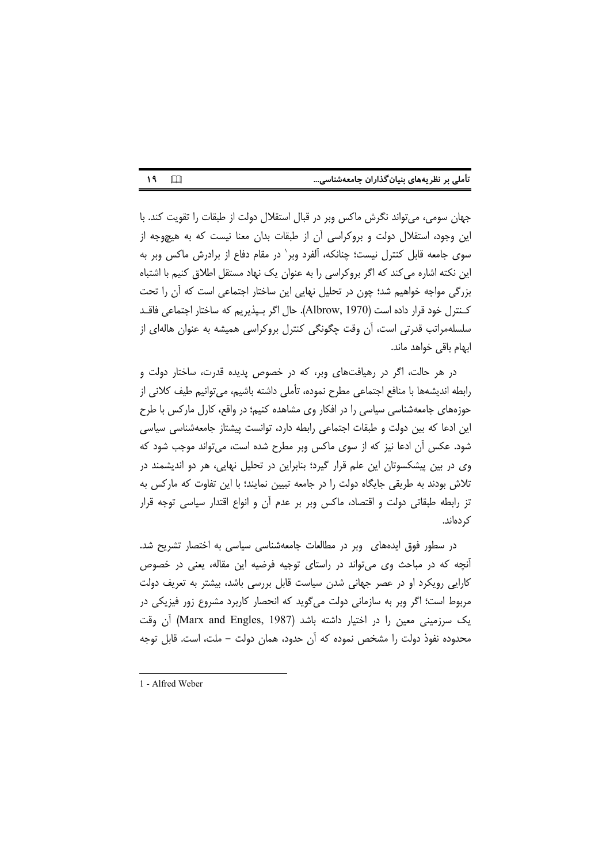| تأملی بر نظریههای بنیان گذاران جامعهشناسی |  |  |
|-------------------------------------------|--|--|
|                                           |  |  |

 $19$  $\Box$ 

جهان سومی، میتواند نگرش ماکس وبر در قبال استقلال دولت از طبقات را تقویت کند. با این وجود، استقلال دولت و بروکراسی آن از طبقات بدان معنا نیست که به هیچوجه از سوی جامعه قابل کنترل نیست؛ چنانکه، آلفرد وبر` در مقام دفاع از برادرش ماکس وبر به این نکته اشاره میکند که اگر بروکراسی را به عنوان یک نهاد مستقل اطلاق کنیم با اشتباه بزرگی مواجه خواهیم شد؛ چون در تحلیل نهایی این ساختار اجتماعی است که آن را تحت كـنترل خود قرار داده است (Albrow, 1970). حال اگر بـيذيريم كه ساختار اجتماعي فاقــد سلسلهمراتب قدرتی است، أن وقت چگونگی کنترل بروکراسی همیشه به عنوان هالهای از ابهام باقی خواهد ماند.

در هر حالت، اگر در رهیافتهای وبر، که در خصوص پدیده قدرت، ساختار دولت و رابطه اندیشهها با منافع اجتماعی مطرح نموده، تأملی داشته باشیم، می توانیم طیف کلانی از حوزههای جامعهشناسی سیاسی را در افکار وی مشاهده کنیم؛ در واقع، کارل مارکس با طرح این ادعا که بین دولت و طبقات اجتماعی رابطه دارد، توانست پیشتاز جامعهشناسی سیاسی شود. عکس أن ادعا نیز که از سوی ماکس وبر مطرح شده است، میتواند موجب شود که وی در بین پیشکسوتان این علم قرار گیرد؛ بنابراین در تحلیل نهایی، هر دو اندیشمند در تلاش بودند به طریقی جایگاه دولت را در جامعه تبیین نمایند؛ با این تفاوت که مارکس به تز رابطه طبقاتی دولت و اقتصاد، ماکس وبر بر عدم أن و انواع اقتدار سیاسی توجه قرار ک دەاند.

در سطور فوق ایدههای وبر در مطالعات جامعهشناسی سیاسی به اختصار تشریح شد. آنچه که در مباحث وی میتواند در راستای توجیه فرضیه این مقاله، یعنی در خصوص کارایی رویکرد او در عصر جهانی شدن سیاست قابل بررسی باشد، بیشتر به تعریف دولت مربوط است؛ اگر وبر به سازمانی دولت میگوید که انحصار کاربرد مشروع زور فیزیکی در یک سرزمینی معین را در اختیار داشته باشد (Marx and Engles, 1987) آن وقت محدوده نفوذ دولت را مشخص نموده که آن حدود، همان دولت – ملت، است. قابل توجه

<sup>1 -</sup> Alfred Weber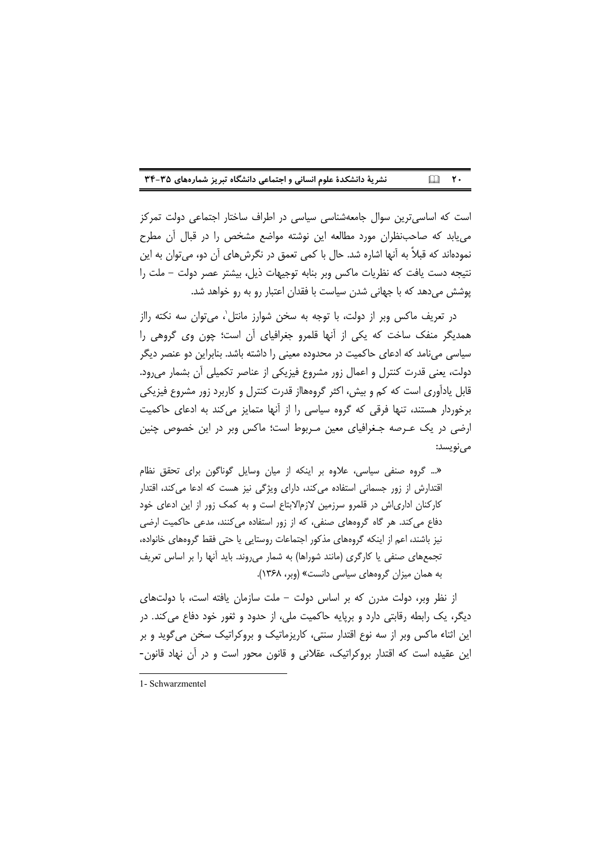|  | نشریهٔ دانشکدهٔ علوم انسانی و اجتماعی دانشگاه تبریز شمارههای ۳۵-۳۴ |  | $\Box$ $\mathsf{Y}$ |  |
|--|--------------------------------------------------------------------|--|---------------------|--|
|--|--------------------------------------------------------------------|--|---------------------|--|

است که اساسیترین سوال جامعهشناسی سیاسی در اطراف ساختار اجتماعی دولت تمرکز می یابد که صاحب نظران مورد مطالعه این نوشته مواضع مشخص را در قبال آن مطرح نمودهاند که قبلاً به آنها اشاره شد. حال با کمی تعمق در نگرش های آن دو، می توان به این نتيجه دست يافت كه نظريات ماكس وبر بنابه توجيهات ذيل، بيشتر عصر دولت – ملت را یوشش میدهد که با جهانی شدن سیاست با فقدان اعتبار رو به رو خواهد شد.

در تعریف ماکس وبر از دولت، با توجه به سخن شوارز مانتل'، می توان سه نکته رااز همدیگر منفک ساخت که یکی از آنها قلمرو جغرافیای آن است؛ چون وی گروهی را سیاسی میiامد که ادعای حاکمیت در محدوده معینی را داشته باشد. بنابراین دو عنصر دیگر دولت، یعنی قدرت کنترل و اعمال زور مشروع فیزیکی از عناصر تکمیلی آن بشمار می رود. قابل یادآوری است که کم و بیش، اکثر گروههااز قدرت کنترل و کاربرد زور مشروع فیزیکی برخوردار هستند، تنها فرقی که گروه سیاسی را از آنها متمایز می کند به ادعای حاکمیت ارضی در یک عـرصه جـغرافیای معین مـربوط است؛ ماکس وبر در این خصوص چنین مي نويسد:

«... گروه صنفی سیاسی، علاوه بر اینکه از میان وسایل گوناگون برای تحقق نظام اقتدارش از زور جسمانی استفاده می کند، دارای ویژگی نیز هست که ادعا می کند، اقتدار کارکنان اداریاش در قلمرو سرزمین لازمالابتاع است و به کمک زور از این ادعای خود دفاع می کند. هر گاه گروههای صنفی، که از زور استفاده می کنند، مدعی حاکمیت ارضی نیز باشند، اعم از اینکه گروههای مذکور اجتماعات روستایی یا حتی فقط گروههای خانواده، تجمعهای صنفی یا کارگری (مانند شوراها) به شمار می روند. باید آنها را بر اساس تعریف به همان میزان گروههای سیاسی دانست» (وبر، ۱۳۶۸).

از نظر وبر، دولت مدرن که بر اساس دولت – ملت سازمان یافته است، با دولتهای دیگر، یک رابطه رقابتی دارد و برپایه حاکمیت ملی، از حدود و ثغور خود دفاع می کند. در این اثناء ماکس وبر از سه نوع اقتدار سنتی، کاریزماتیک و بروکراتیک سخن می گوید و بر این عقیده است که اقتدار بروکراتیک، عقلانی و قانون محور است و در آن نهاد قانون-

<sup>1-</sup> Schwarzmentel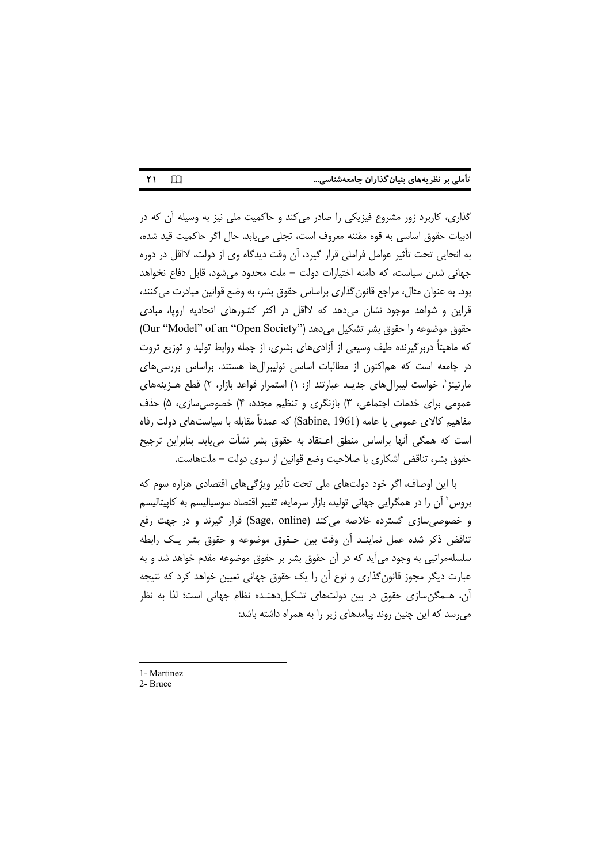| تأملی بر نظریههای بنیان گذاران جامعهشناسی |  |  |  |
|-------------------------------------------|--|--|--|
|                                           |  |  |  |

گذاری، کاربرد زور مشروع فیزیکی را صادر میکند و حاکمیت ملی نیز به وسیله آن که در ادبیات حقوق اساسی به قوه مقننه معروف است، تجلی می یابد. حال اگر حاکمیت قید شده، به انحایی تحت تأثیر عوامل فراملی قرار گیرد، آن وقت دیدگاه وی از دولت، لااقل در دوره جهانی شدن سیاست، که دامنه اختیارات دولت – ملت محدود می شود، قابل دفاع نخواهد بود. به عنوان مثال، مراجع قانون گذاری براساس حقوق بشر، به وضع قوانین مبادرت می کنند، قراین و شواهد موجود نشان میدهد که لااقل در اکثر کشورهای اتحادیه اروپا، مبادی <br ('Model" of an "Open Society") میدهد (''Our "Model" of an "Open Society که ماهیتاً دربرگیرنده طیف وسیعی از آزادیهای بشری، از جمله روابط تولید و توزیع ثروت در جامعه است که هماکنون از مطالبات اساسی نولیبرالها هستند. براساس بررسی های مارتینز'، خواست لیبرالهای جدیـد عبارتند از: ۱) استمرار قواعد بازار، ۲) قطع هـزینههای عمومی برای خدمات اجتماعی، ۳) بازنگری و تنظیم مجدد، ۴) خصوصی سازی، ۵) حذف مفاهیم کالای عمومی یا عامه (Sabine, 1961) که عمدتاً مقابله با سیاستهای دولت رفاه است که همگی أنها براساس منطق اعـتقاد به حقوق بشر نشأت مییابد. بنابراین ترجیح حقوق بشر، تناقض آشکاری با صلاحیت وضع قوانین از سوی دولت – ملتهاست.

با این اوصاف، اگر خود دولتهای ملی تحت تأثیر ویژگی های اقتصادی هزاره سوم که بروس ٔ آن را در همگرایی جهانی تولید، بازار سرمایه، تغییر اقتصاد سوسیالیسم به کایپتالیسم و خصوصی سازی گسترده خلاصه می کند (Sage, online) قرار گیرند و در جهت رفع تناقض ذكر شده عمل نماينـد أن وقت بين حـقوق موضوعه و حقوق بشر يـك رابطه سلسلهمراتبی به وجود میآید که در آن حقوق بشر بر حقوق موضوعه مقدم خواهد شد و به عبارت دیگر مجوز قانون گذاری و نوع آن را یک حقوق جهانی تعیین خواهد کرد که نتیجه آن، ههگن سازی حقوق در بین دولتهای تشکیل دهنده نظام جهانی است؛ لذا به نظر می رسد که این چنین روند پیامدهای زیر را به همراه داشته باشد:

- 1- Martinez
- 2- Bruce

٢١

 $\Box$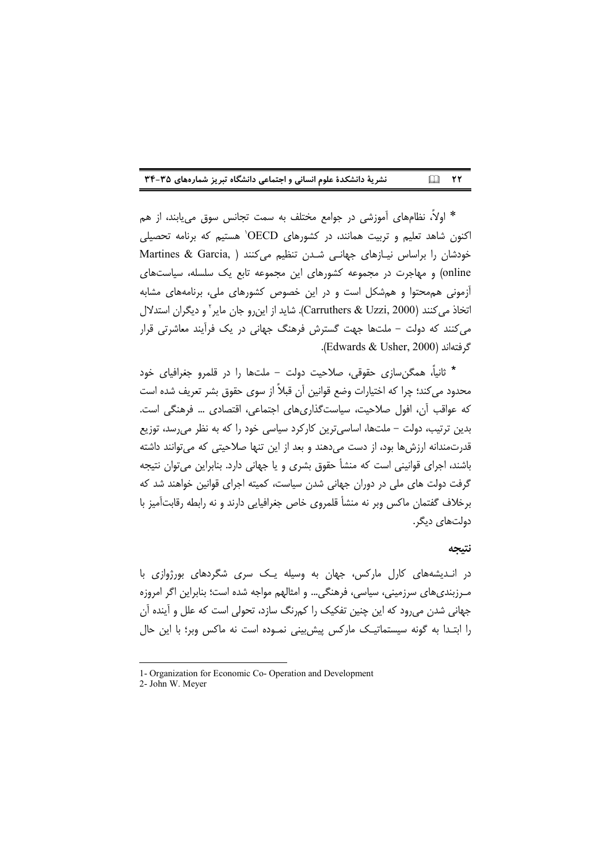| نشریهٔ دانشکدهٔ علوم انسانی و اجتماعی دانشگاه تبریز شمارههای ۳۵-۳۴ |  | $\Box$ YY |  |
|--------------------------------------------------------------------|--|-----------|--|
|--------------------------------------------------------------------|--|-----------|--|

\* اولاً، نظامِهای آموزشی در جوامع مختلف به سمت تجانس سوق می یابند، از هم اکنون شاهد تعلیم و تربیت همانند، در کشورهای OECD<sup>،</sup> هستیم که برنامه تحصیلی خودشان را براساس نیـازهای جهانـی شـدن تنظیم می کنند ( Martines & Garcia online) و مهاجرت در مجموعه کشورهای این مجموعه تابع یک سلسله، سیاستهای آزمونی هم محتوا و هم شکل است و در این خصوص کشورهای ملی، برنامههای مشابه اتخاذ می كنند (Carruthers & Uzzi, 2000). شاید از این رو جان مایر آ و دیگران استدلال می کنند که دولت – ملتها جهت گسترش فرهنگ جهانی در یک فرآیند معاشرتی قرار گرفتهاند (Edwards & Usher, 2000).

\* ثانیاً، همگن سازی حقوقی، صلاحیت دولت – ملتها را در قلمرو جغرافیای خود محدود می کند؛ چرا که اختیارات وضع قوانین آن قبلاً از سوی حقوق بشر تعریف شده است كه عواقب أن، افول صلاحيت، سياست گذاري هاي اجتماعي، اقتصادي … فرهنگي است. بدین ترتیب، دولت – ملتها، اساسی ترین کارکرد سیاسی خود را که به نظر می رسد، توزیع قدرتمندانه ارزش ها بود، از دست می دهند و بعد از این تنها صلاحیتی که می توانند داشته باشند، اجرای قوانینی است که منشأ حقوق بشری و یا جهانی دارد. بنابراین می توان نتیجه گرفت دولت های ملی در دوران جهانی شدن سیاست، کمیته اجرای قوانین خواهند شد که برخلاف گفتمان ماکس وبر نه منشأ قلمروی خاص جغرافیایی دارند و نه رابطه رقابتآمیز با دولتهای دیگر.

#### نتيجه

در انـدیشههای کارل مارکس، جهان به وسیله یـک سری شگردهای بورژوازی با مـرزبندیهای سرزمینی، سیاسی، فرهنگی... و امثالهم مواجه شده است؛ بنابراین اگر امروزه جهانی شدن میرود که این چنین تفکیک را کمرنگ سازد، تحولی است که علل و آینده آن را ابتـدا به گونه سیستماتیـک مارکس پیش،پینی نمـوده است نه ماکس وبر؛ با این حال

<sup>1-</sup> Organization for Economic Co- Operation and Development

<sup>2-</sup> John W. Meyer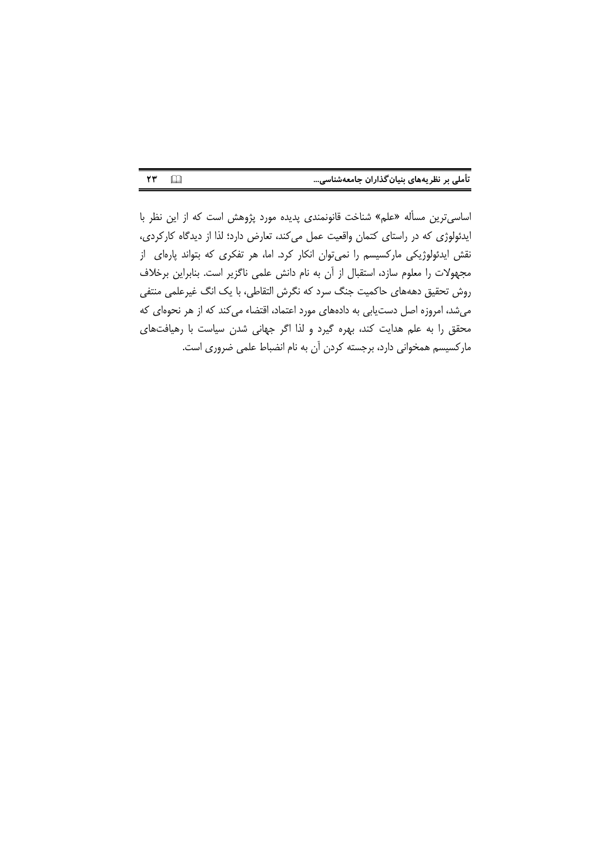| تأملی بر نظریههای بنیان گذاران جامعهشناسی |  |  |  |
|-------------------------------------------|--|--|--|
|-------------------------------------------|--|--|--|

اساسیترین مسأله «علم» شناخت قانونمندی پدیده مورد پژوهش است که از این نظر با ایدئولوژی که در راستای کتمان واقعیت عمل میکند، تعارض دارد؛ لذا از دیدگاه کارکردی، نقش ایدئولوژیکی مارکسیسم را نمیتوان انکار کرد. اما، هر تفکری که بتواند پارهای از مجهولات را معلوم سازد، استقبال از آن به نام دانش علمی ناگزیر است. بنابراین برخلاف روش تحقیق دهههای حاکمیت جنگ سرد که نگرش التقاطی، با یک انگ غیرعلمی منتفی میشد، امروزه اصل دستیابی به دادههای مورد اعتماد، اقتضاء می کند که از هر نحوهای که محقق را به علم هدایت کند، بهره گیرد و لذا اگر جهانی شدن سیاست با رهیافتهای مارکسیسم همخوانی دارد، برجسته کردن آن به نام انضباط علمی ضروری است.

 $YY \Box$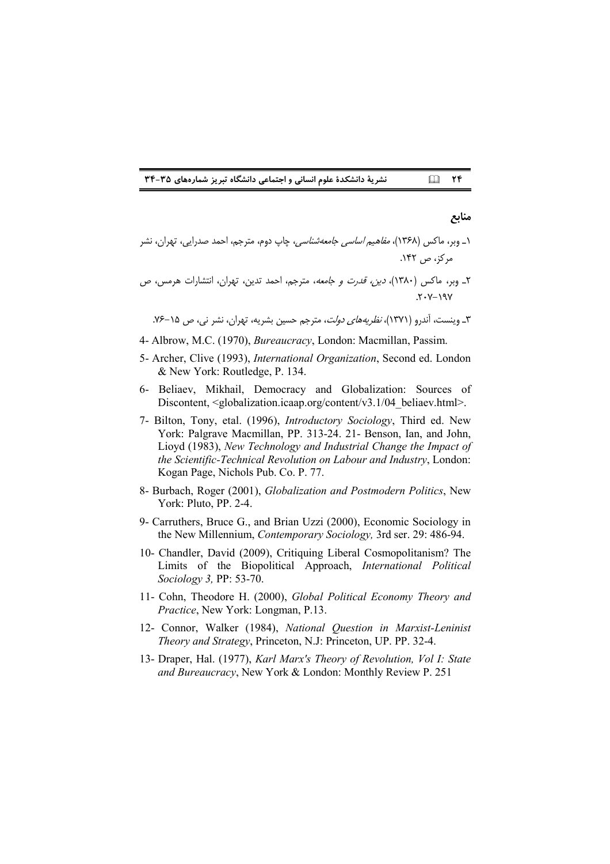**!\$#!" \$**

#### منابع

- ۱\_ وبر، ماکس (۱۳۶۸)، *مفاهیم اساسی جامعهشناسی،* چاپ دوم، مترجم، احمد صدرایی، تهران، نشر مركز، ص ١۴٢.
- ۲\_ وبر، ماکس (۱۳۸۰)، *دین، قدرت و جامعه*، مترجم، احمد تدین، تهران، انتشارات هرمس، ص  $Y - Y - Y = Y$

۳ـ وینست، آندرو (۱۳۷۱)، *نظریههای دولت*، مترجم حسین بشریه، تهران، نشر نی، ص ۱۵–۷۶.

- 4- Albrow, M.C. (1970), *Bureaucracy*, London: Macmillan, Passim.
- 5- Archer, Clive (1993), *International Organization*, Second ed. London & New York: Routledge, P. 134.
- 6- Beliaev, Mikhail, Democracy and Globalization: Sources of Discontent, <globalization.icaap.org/content/v3.1/04\_beliaev.html>.
- 7- Bilton, Tony, etal. (1996), *Introductory Sociology*, Third ed. New York: Palgrave Macmillan, PP. 313-24. 21- Benson, Ian, and John, Lioyd (1983), *New Technology and Industrial Change the Impact of the Scientific-Technical Revolution on Labour and Industry*, London: Kogan Page, Nichols Pub. Co. P. 77.
- 8- Burbach, Roger (2001), *Globalization and Postmodern Politics*, New York: Pluto, PP. 2-4.
- 9- Carruthers, Bruce G., and Brian Uzzi (2000), Economic Sociology in the New Millennium, *Contemporary Sociology,* 3rd ser. 29: 486-94.
- 10- Chandler, David (2009), Critiquing Liberal Cosmopolitanism? The Limits of the Biopolitical Approach, *International Political Sociology 3,* PP: 53-70.
- 11- Cohn, Theodore H. (2000), *Global Political Economy Theory and Practice*, New York: Longman, P.13.
- 12- Connor, Walker (1984), *National Question in Marxist-Leninist Theory and Strategy*, Princeton, N.J: Princeton, UP. PP. 32-4.
- 13- Draper, Hal. (1977), *Karl Marx's Theory of Revolution, Vol I: State and Bureaucracy*, New York & London: Monthly Review P. 251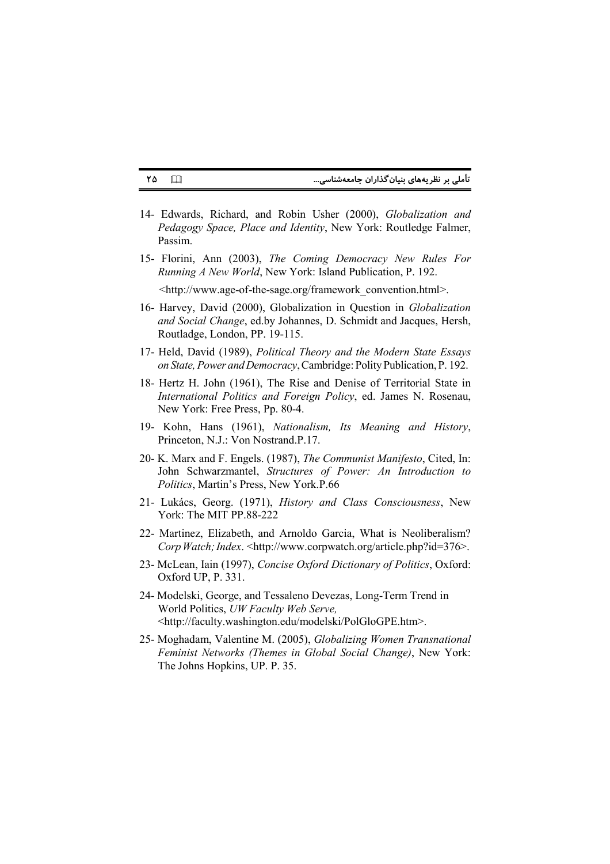#### تأملی بر نظریههای بنیان گذاران جامعهشناسی...

14- Edwards, Richard, and Robin Usher (2000), Globalization and Pedagogy Space, Place and Identity, New York: Routledge Falmer, Passim.

 $\Box$ 

٢٥

15- Florini, Ann (2003), The Coming Democracy New Rules For Running A New World, New York: Island Publication, P. 192.

<http://www.age-of-the-sage.org/framework convention.html>.

- 16- Harvey, David (2000), Globalization in Question in Globalization and Social Change, ed.by Johannes, D. Schmidt and Jacques, Hersh, Routladge, London, PP. 19-115.
- 17- Held, David (1989), Political Theory and the Modern State Essays on State, Power and Democracy, Cambridge: Polity Publication, P. 192.
- 18- Hertz H. John (1961), The Rise and Denise of Territorial State in International Politics and Foreign Policy, ed. James N. Rosenau, New York: Free Press, Pp. 80-4.
- 19- Kohn, Hans (1961), Nationalism, Its Meaning and History, Princeton, N.J.: Von Nostrand.P.17.
- 20- K. Marx and F. Engels. (1987), The Communist Manifesto, Cited, In: John Schwarzmantel, Structures of Power: An Introduction to Politics, Martin's Press, New York.P.66
- 21- Lukács, Georg. (1971), History and Class Consciousness, New York: The MIT PP.88-222
- 22- Martinez, Elizabeth, and Arnoldo Garcia, What is Neoliberalism? Corp Watch; Index. <http://www.corpwatch.org/article.php?id=376>.
- 23- McLean, Iain (1997), Concise Oxford Dictionary of Politics, Oxford: Oxford UP, P. 331.
- 24- Modelski, George, and Tessaleno Devezas, Long-Term Trend in World Politics, UW Faculty Web Serve, <http://faculty.washington.edu/modelski/PolGloGPE.htm>.
- 25- Moghadam, Valentine M. (2005), Globalizing Women Transnational Feminist Networks (Themes in Global Social Change), New York: The Johns Hopkins, UP. P. 35.